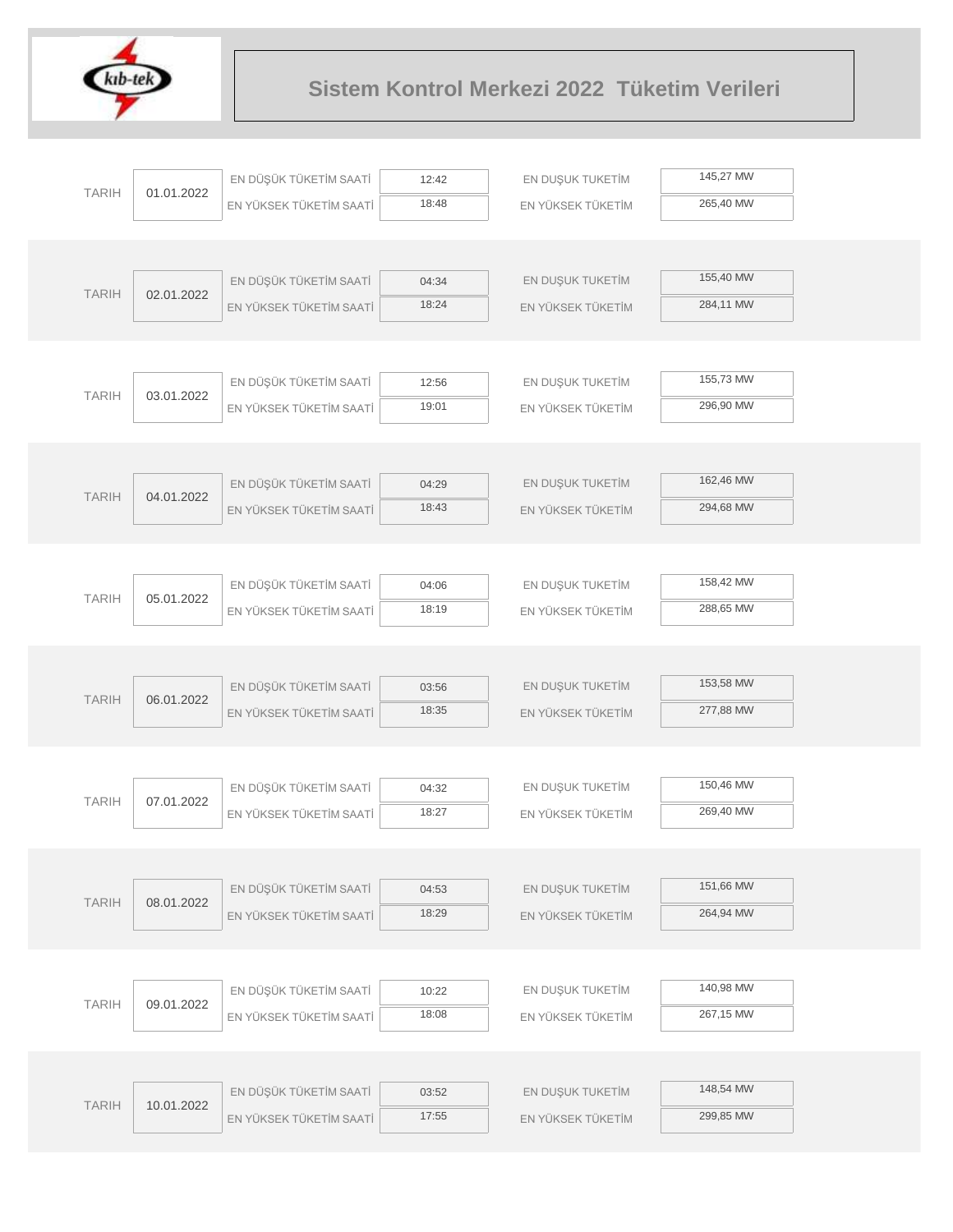

|              |            | EN DÜŞÜK TÜKETİM SAATİ  | 12:42          | EN DUŞUK TUKETİM  | 145,27 MW |  |
|--------------|------------|-------------------------|----------------|-------------------|-----------|--|
| <b>TARIH</b> | 01.01.2022 | EN YÜKSEK TÜKETİM SAATİ | 18:48          | EN YÜKSEK TÜKETİM | 265,40 MW |  |
|              |            |                         |                |                   |           |  |
|              |            |                         |                |                   |           |  |
| <b>TARIH</b> | 02.01.2022 | EN DÜŞÜK TÜKETİM SAATİ  | 04:34          | EN DUŞUK TUKETİM  | 155,40 MW |  |
|              |            | EN YÜKSEK TÜKETİM SAATİ | 18:24          | EN YÜKSEK TÜKETİM | 284,11 MW |  |
|              |            |                         |                |                   |           |  |
|              |            |                         |                |                   |           |  |
| <b>TARIH</b> | 03.01.2022 | EN DÜŞÜK TÜKETİM SAATİ  | 12:56          | EN DUŞUK TUKETİM  | 155,73 MW |  |
|              |            | EN YÜKSEK TÜKETİM SAATİ | 19:01          | EN YÜKSEK TÜKETİM | 296,90 MW |  |
|              |            |                         |                |                   |           |  |
|              |            | EN DÜŞÜK TÜKETİM SAATİ  |                | EN DUŞUK TUKETİM  | 162,46 MW |  |
| <b>TARIH</b> | 04.01.2022 | EN YÜKSEK TÜKETİM SAATİ | 04:29<br>18:43 | EN YÜKSEK TÜKETİM | 294,68 MW |  |
|              |            |                         |                |                   |           |  |
|              |            |                         |                |                   |           |  |
|              |            | EN DÜŞÜK TÜKETİM SAATİ  | 04:06          | EN DUŞUK TUKETİM  | 158,42 MW |  |
| <b>TARIH</b> | 05.01.2022 | EN YÜKSEK TÜKETİM SAATİ | 18:19          | EN YÜKSEK TÜKETİM | 288,65 MW |  |
|              |            |                         |                |                   |           |  |
|              |            |                         |                |                   |           |  |
|              |            | EN DÜŞÜK TÜKETİM SAATİ  | 03:56          | EN DUŞUK TUKETİM  | 153,58 MW |  |
| <b>TARIH</b> | 06.01.2022 | EN YÜKSEK TÜKETİM SAATİ | 18:35          | EN YÜKSEK TÜKETİM | 277,88 MW |  |
|              |            |                         |                |                   |           |  |
|              |            |                         |                |                   |           |  |
| <b>TARIH</b> | 07.01.2022 | EN DÜŞÜK TÜKETİM SAATİ  | 04:32          | EN DUŞUK TUKETİM  | 150,46 MW |  |
|              |            | EN YÜKSEK TÜKETİM SAATİ | 18:27          | EN YÜKSEK TÜKETİM | 269,40 MW |  |
|              |            |                         |                |                   |           |  |
|              |            |                         |                |                   | 151,66 MW |  |
| <b>TARIH</b> | 08.01.2022 | EN DÜŞÜK TÜKETİM SAATİ  | 04:53<br>18:29 | EN DUŞUK TUKETİM  | 264,94 MW |  |
|              |            | EN YÜKSEK TÜKETİM SAATİ |                | EN YÜKSEK TÜKETİM |           |  |
|              |            |                         |                |                   |           |  |
|              |            | EN DÜŞÜK TÜKETİM SAATİ  | 10:22          | EN DUŞUK TUKETİM  | 140,98 MW |  |
| <b>TARIH</b> | 09.01.2022 | EN YÜKSEK TÜKETİM SAATİ | 18:08          | EN YÜKSEK TÜKETİM | 267,15 MW |  |
|              |            |                         |                |                   |           |  |
|              |            |                         |                |                   |           |  |
|              |            | EN DÜŞÜK TÜKETİM SAATİ  | 03:52          | EN DUŞUK TUKETİM  | 148,54 MW |  |
| <b>TARIH</b> | 10.01.2022 | EN YÜKSEK TÜKETİM SAATİ | 17:55          | EN YÜKSEK TÜKETİM | 299,85 MW |  |
|              |            |                         |                |                   |           |  |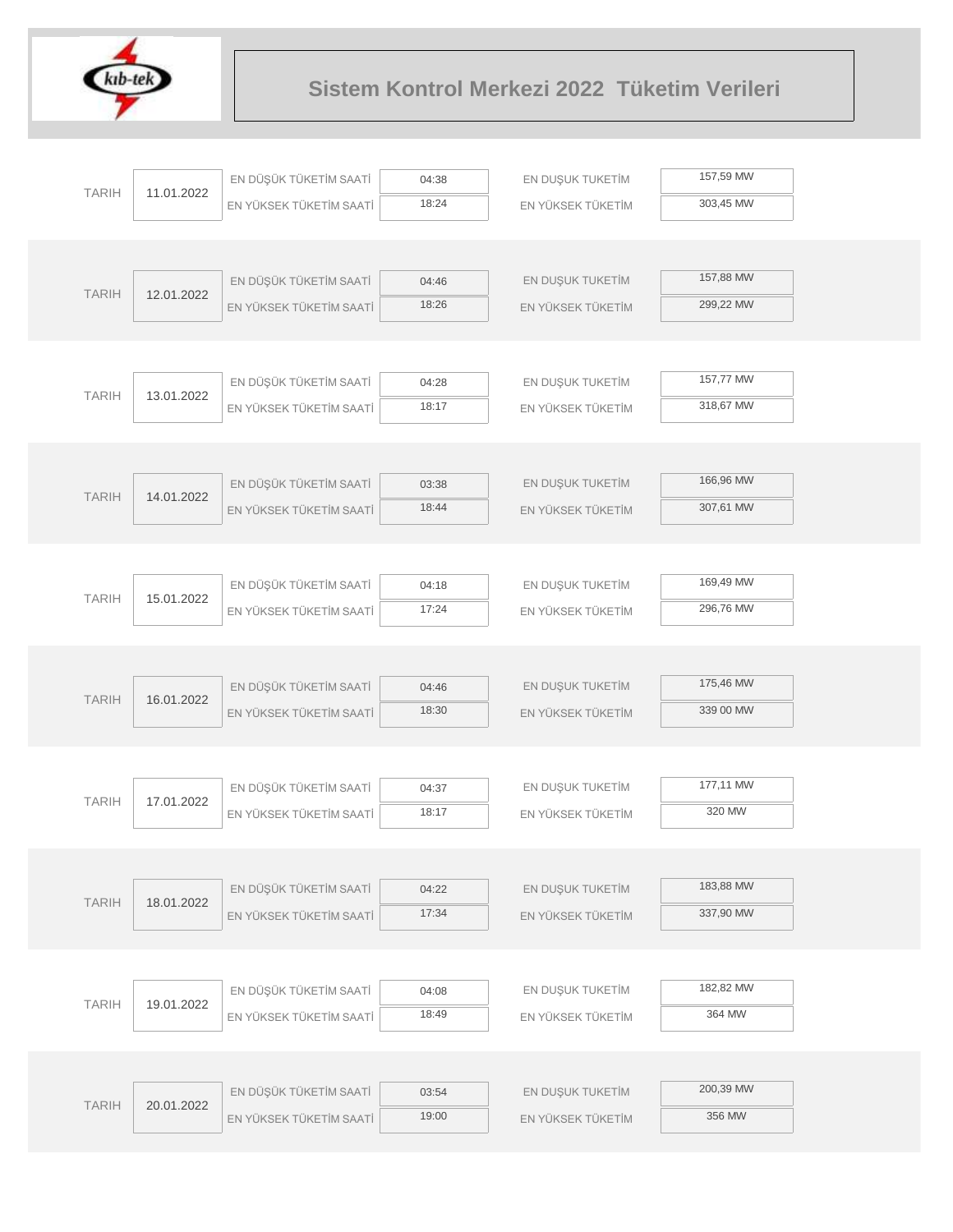

| <b>TARIH</b> | 11.01.2022 | EN DÜŞÜK TÜKETİM SAATİ  | 04:38 | EN DUŞUK TUKETİM  | 157,59 MW |  |
|--------------|------------|-------------------------|-------|-------------------|-----------|--|
|              |            | EN YÜKSEK TÜKETİM SAATİ | 18:24 | EN YÜKSEK TÜKETİM | 303,45 MW |  |
|              |            |                         |       |                   |           |  |
|              |            |                         |       |                   |           |  |
| <b>TARIH</b> | 12.01.2022 | EN DÜŞÜK TÜKETİM SAATİ  | 04:46 | EN DUŞUK TUKETİM  | 157,88 MW |  |
|              |            | EN YÜKSEK TÜKETİM SAATİ | 18:26 | EN YÜKSEK TÜKETİM | 299,22 MW |  |
|              |            |                         |       |                   |           |  |
|              |            |                         |       |                   |           |  |
| <b>TARIH</b> | 13.01.2022 | EN DÜŞÜK TÜKETİM SAATİ  | 04:28 | EN DUŞUK TUKETİM  | 157,77 MW |  |
|              |            | EN YÜKSEK TÜKETİM SAATİ | 18:17 | EN YÜKSEK TÜKETİM | 318,67 MW |  |
|              |            |                         |       |                   |           |  |
|              |            |                         |       |                   |           |  |
| <b>TARIH</b> | 14.01.2022 | EN DÜŞÜK TÜKETİM SAATİ  | 03:38 | EN DUŞUK TUKETİM  | 166,96 MW |  |
|              |            | EN YÜKSEK TÜKETİM SAATİ | 18:44 | EN YÜKSEK TÜKETİM | 307,61 MW |  |
|              |            |                         |       |                   |           |  |
|              |            |                         |       |                   | 169,49 MW |  |
| <b>TARIH</b> | 15.01.2022 | EN DÜŞÜK TÜKETİM SAATİ  | 04:18 | EN DUŞUK TUKETİM  |           |  |
|              |            | EN YÜKSEK TÜKETİM SAATİ | 17:24 | EN YÜKSEK TÜKETİM | 296,76 MW |  |
|              |            |                         |       |                   |           |  |
|              |            | EN DÜŞÜK TÜKETİM SAATİ  | 04:46 | EN DUŞUK TUKETİM  | 175,46 MW |  |
| <b>TARIH</b> | 16.01.2022 | EN YÜKSEK TÜKETİM SAATİ | 18:30 | EN YÜKSEK TÜKETİM | 339 00 MW |  |
|              |            |                         |       |                   |           |  |
|              |            |                         |       |                   |           |  |
|              |            | EN DÜŞÜK TÜKETİM SAATİ  | 04:37 | EN DUŞUK TUKETİM  | 177,11 MW |  |
| <b>TARIH</b> | 17.01.2022 | EN YÜKSEK TÜKETİM SAATİ | 18:17 | EN YÜKSEK TÜKETİM | 320 MW    |  |
|              |            |                         |       |                   |           |  |
|              |            |                         |       |                   |           |  |
|              |            | EN DÜŞÜK TÜKETİM SAATİ  | 04:22 | EN DUŞUK TUKETİM  | 183,88 MW |  |
| <b>TARIH</b> | 18.01.2022 | EN YÜKSEK TÜKETİM SAATİ | 17:34 | EN YÜKSEK TÜKETİM | 337,90 MW |  |
|              |            |                         |       |                   |           |  |
|              |            |                         |       |                   |           |  |
|              |            | EN DÜŞÜK TÜKETİM SAATİ  | 04:08 | EN DUŞUK TUKETİM  | 182,82 MW |  |
| <b>TARIH</b> | 19.01.2022 | EN YÜKSEK TÜKETİM SAATİ | 18:49 | EN YÜKSEK TÜKETİM | 364 MW    |  |
|              |            |                         |       |                   |           |  |
|              |            |                         |       |                   |           |  |
|              |            | EN DÜŞÜK TÜKETİM SAATİ  | 03:54 | EN DUŞUK TUKETİM  | 200,39 MW |  |
| <b>TARIH</b> | 20.01.2022 | EN YÜKSEK TÜKETİM SAATİ | 19:00 | EN YÜKSEK TÜKETİM | 356 MW    |  |
|              |            |                         |       |                   |           |  |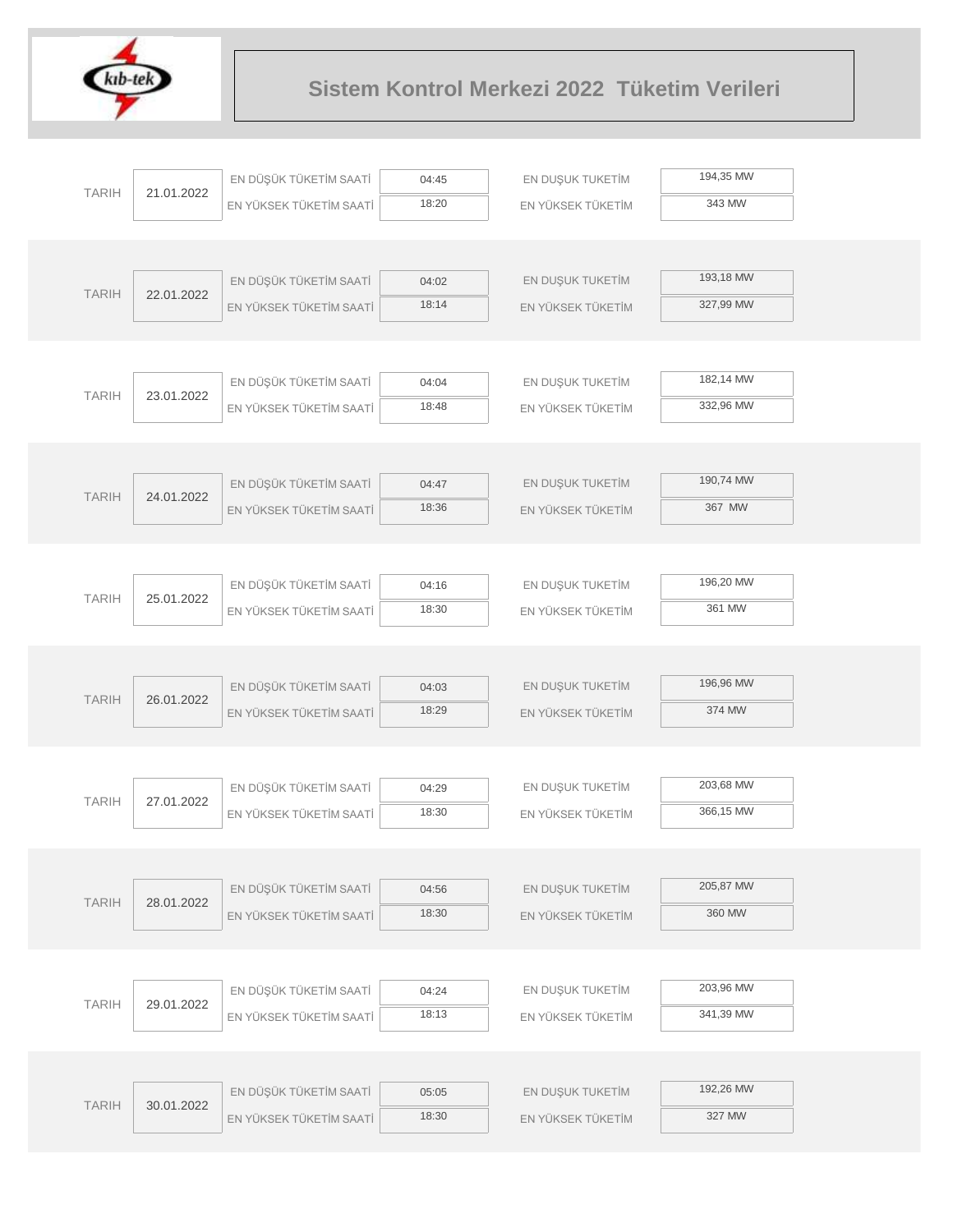

|              |            | EN DÜŞÜK TÜKETİM SAATİ  | 04:45 | EN DUŞUK TUKETİM  | 194,35 MW |
|--------------|------------|-------------------------|-------|-------------------|-----------|
| <b>TARIH</b> | 21.01.2022 | EN YÜKSEK TÜKETİM SAATİ | 18:20 | EN YÜKSEK TÜKETİM | 343 MW    |
|              |            |                         |       |                   |           |
|              |            |                         |       |                   |           |
|              |            | EN DÜŞÜK TÜKETİM SAATİ  | 04:02 | EN DUŞUK TUKETİM  | 193,18 MW |
| <b>TARIH</b> | 22.01.2022 | EN YÜKSEK TÜKETİM SAATİ | 18:14 | EN YÜKSEK TÜKETİM | 327,99 MW |
|              |            |                         |       |                   |           |
|              |            |                         |       |                   |           |
|              |            | EN DÜŞÜK TÜKETİM SAATİ  | 04:04 | EN DUŞUK TUKETİM  | 182,14 MW |
| <b>TARIH</b> | 23.01.2022 | EN YÜKSEK TÜKETİM SAATİ | 18:48 | EN YÜKSEK TÜKETİM | 332,96 MW |
|              |            |                         |       |                   |           |
|              |            |                         |       |                   |           |
|              |            | EN DÜŞÜK TÜKETİM SAATİ  | 04:47 | EN DUŞUK TUKETİM  | 190,74 MW |
| <b>TARIH</b> | 24.01.2022 | EN YÜKSEK TÜKETİM SAATİ | 18:36 | EN YÜKSEK TÜKETİM | 367 MW    |
|              |            |                         |       |                   |           |
|              |            |                         |       |                   |           |
|              |            | EN DÜŞÜK TÜKETİM SAATİ  | 04:16 | EN DUŞUK TUKETİM  | 196,20 MW |
| <b>TARIH</b> | 25.01.2022 | EN YÜKSEK TÜKETİM SAATİ | 18:30 | EN YÜKSEK TÜKETİM | 361 MW    |
|              |            |                         |       |                   |           |
|              |            |                         |       |                   |           |
|              |            | EN DÜŞÜK TÜKETİM SAATİ  | 04:03 | EN DUŞUK TUKETİM  | 196,96 MW |
| <b>TARIH</b> | 26.01.2022 | EN YÜKSEK TÜKETİM SAATİ | 18:29 | EN YÜKSEK TÜKETİM | 374 MW    |
|              |            |                         |       |                   |           |
|              |            |                         |       |                   |           |
|              |            | EN DÜŞÜK TÜKETİM SAATİ  | 04:29 | EN DUŞUK TUKETİM  | 203,68 MW |
| <b>TARIH</b> | 27.01.2022 | EN YÜKSEK TÜKETİM SAATİ | 18:30 | EN YÜKSEK TÜKETİM | 366,15 MW |
|              |            |                         |       |                   |           |
|              |            |                         |       |                   |           |
|              |            | EN DÜŞÜK TÜKETİM SAATİ  | 04:56 | EN DUŞUK TUKETİM  | 205,87 MW |
| <b>TARIH</b> | 28.01.2022 | EN YÜKSEK TÜKETİM SAATİ | 18:30 | EN YÜKSEK TÜKETİM | 360 MW    |
|              |            |                         |       |                   |           |
|              |            |                         |       |                   |           |
|              |            | EN DÜŞÜK TÜKETİM SAATİ  | 04:24 | EN DUŞUK TUKETİM  | 203,96 MW |
| <b>TARIH</b> | 29.01.2022 | EN YÜKSEK TÜKETİM SAATİ | 18:13 | EN YÜKSEK TÜKETİM | 341,39 MW |
|              |            |                         |       |                   |           |
|              |            |                         |       |                   |           |
|              |            | EN DÜŞÜK TÜKETİM SAATİ  | 05:05 | EN DUŞUK TUKETİM  | 192,26 MW |
| <b>TARIH</b> | 30.01.2022 | EN YÜKSEK TÜKETİM SAATİ | 18:30 | EN YÜKSEK TÜKETİM | 327 MW    |
|              |            |                         |       |                   |           |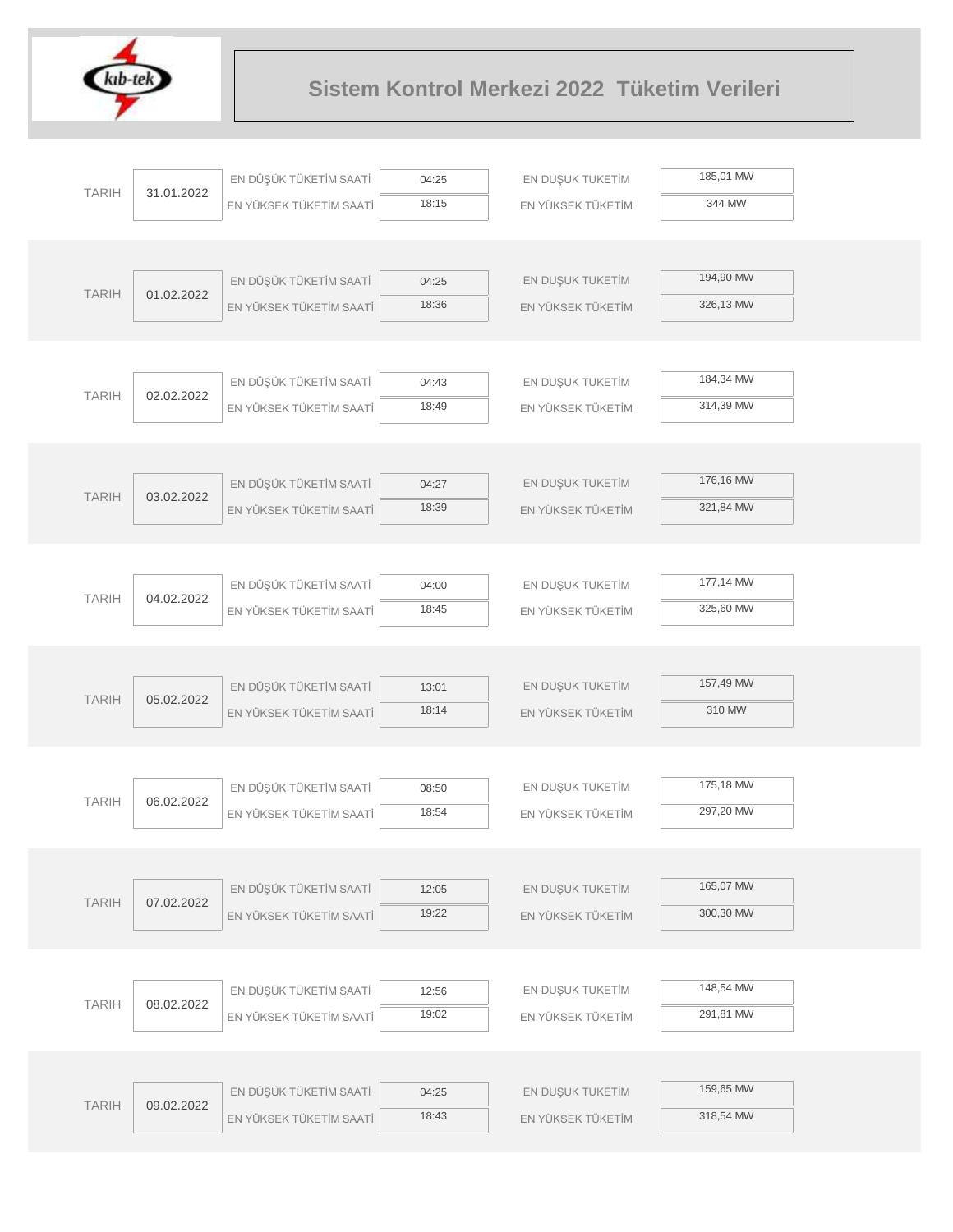

| <b>TARIH</b> |            | EN DÜŞÜK TÜKETİM SAATİ  | 04:25          | EN DUŞUK TUKETİM  | 185,01 MW |
|--------------|------------|-------------------------|----------------|-------------------|-----------|
|              | 31.01.2022 | EN YÜKSEK TÜKETİM SAATİ | 18:15          | EN YÜKSEK TÜKETİM | 344 MW    |
|              |            |                         |                |                   |           |
|              |            |                         |                |                   |           |
| <b>TARIH</b> | 01.02.2022 | EN DÜŞÜK TÜKETİM SAATİ  | 04:25          | EN DUŞUK TUKETİM  | 194,90 MW |
|              |            | EN YÜKSEK TÜKETİM SAATİ | 18:36          | EN YÜKSEK TÜKETİM | 326,13 MW |
|              |            |                         |                |                   |           |
|              |            |                         |                |                   |           |
| <b>TARIH</b> | 02.02.2022 | EN DÜŞÜK TÜKETİM SAATİ  | 04:43          | EN DUŞUK TUKETİM  | 184,34 MW |
|              |            | EN YÜKSEK TÜKETİM SAATİ | 18:49          | EN YÜKSEK TÜKETİM | 314,39 MW |
|              |            |                         |                |                   |           |
|              |            |                         |                |                   |           |
| <b>TARIH</b> | 03.02.2022 | EN DÜŞÜK TÜKETİM SAATİ  | 04:27          | EN DUŞUK TUKETİM  | 176,16 MW |
|              |            | EN YÜKSEK TÜKETİM SAATİ | 18:39          | EN YÜKSEK TÜKETİM | 321,84 MW |
|              |            |                         |                |                   |           |
|              |            |                         |                |                   |           |
| <b>TARIH</b> | 04.02.2022 | EN DÜŞÜK TÜKETİM SAATİ  | 04:00          | EN DUŞUK TUKETİM  | 177,14 MW |
|              |            | EN YÜKSEK TÜKETİM SAATİ | 18:45          | EN YÜKSEK TÜKETİM | 325,60 MW |
|              |            |                         |                |                   |           |
|              |            |                         |                |                   |           |
| <b>TARIH</b> | 05.02.2022 | EN DÜŞÜK TÜKETİM SAATİ  | 13:01          | EN DUŞUK TUKETİM  | 157,49 MW |
|              |            | EN YÜKSEK TÜKETİM SAATİ | 18:14          | EN YÜKSEK TÜKETİM | 310 MW    |
|              |            |                         |                |                   |           |
|              |            |                         |                |                   | 175,18 MW |
| <b>TARIH</b> | 06.02.2022 | EN DÜŞÜK TÜKETİM SAATİ  | 08:50<br>18:54 | EN DUŞUK TUKETİM  | 297,20 MW |
|              |            | EN YÜKSEK TÜKETİM SAATİ |                | EN YÜKSEK TÜKETİM |           |
|              |            |                         |                |                   |           |
|              |            | EN DÜŞÜK TÜKETİM SAATİ  | 12:05          | EN DUŞUK TUKETİM  | 165,07 MW |
| <b>TARIH</b> | 07.02.2022 | EN YÜKSEK TÜKETİM SAATİ | 19:22          | EN YÜKSEK TÜKETİM | 300,30 MW |
|              |            |                         |                |                   |           |
|              |            |                         |                |                   |           |
|              |            | EN DÜŞÜK TÜKETİM SAATİ  | 12:56          | EN DUŞUK TUKETİM  | 148,54 MW |
| <b>TARIH</b> | 08.02.2022 | EN YÜKSEK TÜKETİM SAATİ | 19:02          | EN YÜKSEK TÜKETİM | 291,81 MW |
|              |            |                         |                |                   |           |
|              |            |                         |                |                   |           |
|              |            | EN DÜŞÜK TÜKETİM SAATİ  | 04:25          | EN DUŞUK TUKETİM  | 159,65 MW |
| <b>TARIH</b> | 09.02.2022 | EN YÜKSEK TÜKETİM SAATİ | 18:43          | EN YÜKSEK TÜKETİM | 318,54 MW |
|              |            |                         |                |                   |           |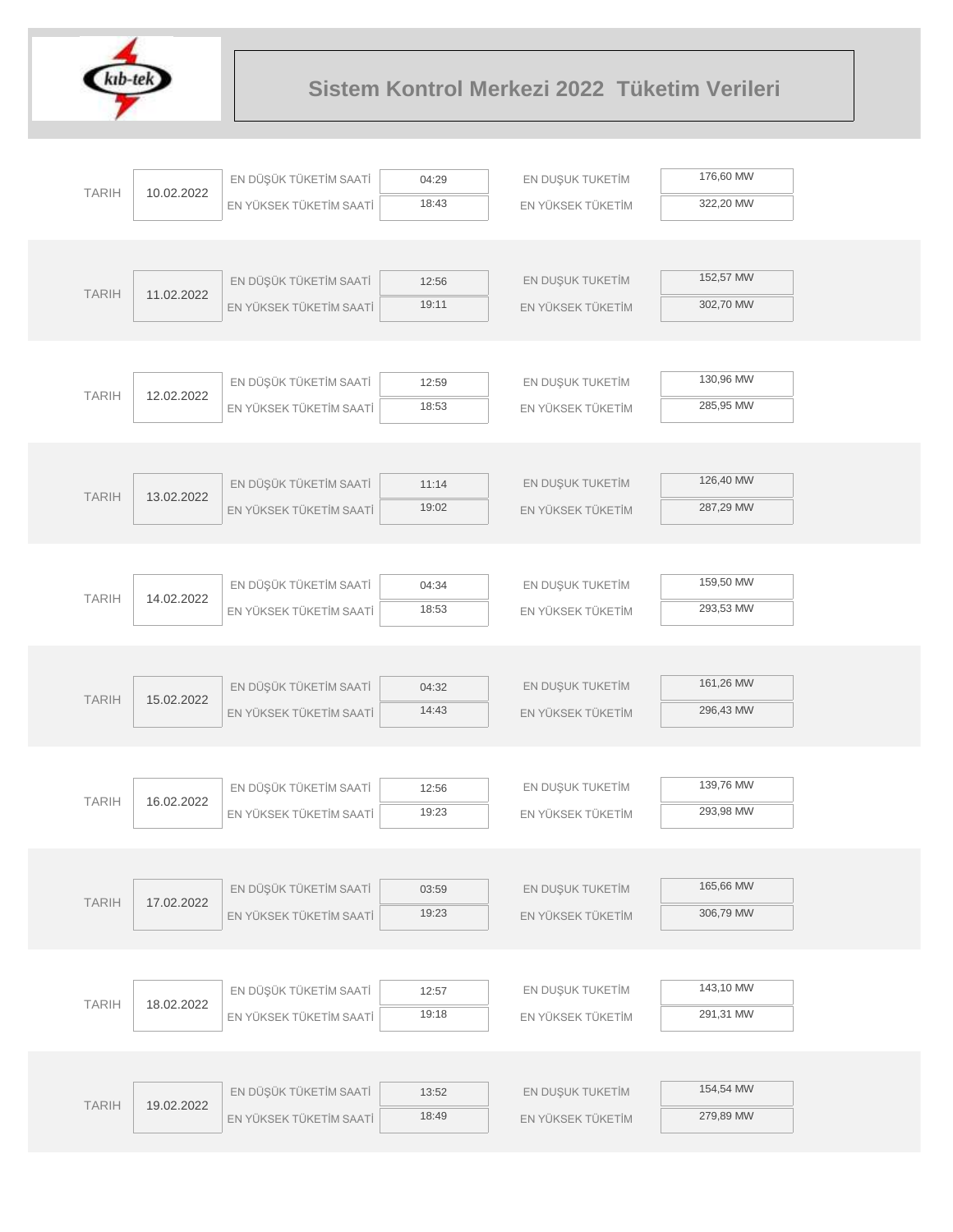

| 176,60 MW<br>EN DÜŞÜK TÜKETİM SAATİ<br>EN DUŞUK TUKETİM<br>04:29<br><b>TARIH</b><br>10.02.2022<br>18:43<br>322,20 MW<br>EN YÜKSEK TÜKETİM<br>EN YÜKSEK TÜKETİM SAATİ |  |
|----------------------------------------------------------------------------------------------------------------------------------------------------------------------|--|
|                                                                                                                                                                      |  |
|                                                                                                                                                                      |  |
|                                                                                                                                                                      |  |
|                                                                                                                                                                      |  |
| 152,57 MW<br>EN DÜŞÜK TÜKETİM SAATİ<br>EN DUŞUK TUKETİM<br>12:56<br><b>TARIH</b><br>11.02.2022                                                                       |  |
| 19:11<br>302,70 MW<br>EN YÜKSEK TÜKETİM SAATİ<br>EN YÜKSEK TÜKETİM                                                                                                   |  |
|                                                                                                                                                                      |  |
|                                                                                                                                                                      |  |
| 130,96 MW<br>EN DÜŞÜK TÜKETİM SAATİ<br>EN DUŞUK TUKETİM<br>12:59<br><b>TARIH</b><br>12.02.2022                                                                       |  |
| 18:53<br>285,95 MW<br>EN YÜKSEK TÜKETİM SAATİ<br>EN YÜKSEK TÜKETİM                                                                                                   |  |
|                                                                                                                                                                      |  |
|                                                                                                                                                                      |  |
| 126,40 MW<br>EN DÜŞÜK TÜKETİM SAATİ<br>EN DUŞUK TUKETİM<br>11:14<br><b>TARIH</b><br>13.02.2022                                                                       |  |
| 19:02<br>287,29 MW<br>EN YÜKSEK TÜKETİM SAATİ<br>EN YÜKSEK TÜKETİM                                                                                                   |  |
|                                                                                                                                                                      |  |
|                                                                                                                                                                      |  |
| 159,50 MW<br>EN DÜŞÜK TÜKETİM SAATİ<br>EN DUŞUK TUKETİM<br>04:34<br><b>TARIH</b><br>14.02.2022                                                                       |  |
| 18:53<br>293,53 MW<br>EN YÜKSEK TÜKETİM SAATİ<br>EN YÜKSEK TÜKETİM                                                                                                   |  |
|                                                                                                                                                                      |  |
|                                                                                                                                                                      |  |
| 161,26 MW<br>EN DÜŞÜK TÜKETİM SAATİ<br>EN DUŞUK TUKETİM<br>04:32<br><b>TARIH</b><br>15.02.2022                                                                       |  |
| 14:43<br>296,43 MW<br>EN YÜKSEK TÜKETİM SAATİ<br>EN YÜKSEK TÜKETİM                                                                                                   |  |
|                                                                                                                                                                      |  |
| 139,76 MW                                                                                                                                                            |  |
| EN DÜŞÜK TÜKETİM SAATİ<br>EN DUŞUK TUKETİM<br>12:56<br><b>TARIH</b><br>16.02.2022                                                                                    |  |
| 19:23<br>293,98 MW<br>EN YÜKSEK TÜKETİM SAATİ<br>EN YÜKSEK TÜKETİM                                                                                                   |  |
|                                                                                                                                                                      |  |
| 165,66 MW<br>EN DÜŞÜK TÜKETİM SAATİ<br>EN DUŞUK TUKETİM                                                                                                              |  |
| 03:59<br><b>TARIH</b><br>17.02.2022<br>306,79 MW<br>19:23                                                                                                            |  |
| EN YÜKSEK TÜKETİM SAATİ<br>EN YÜKSEK TÜKETİM                                                                                                                         |  |
|                                                                                                                                                                      |  |
| 143,10 MW<br>EN DÜŞÜK TÜKETİM SAATİ<br>EN DUŞUK TUKETİM<br>12:57                                                                                                     |  |
| <b>TARIH</b><br>18.02.2022<br>291,31 MW<br>19:18<br>EN YÜKSEK TÜKETİM SAATİ<br>EN YÜKSEK TÜKETİM                                                                     |  |
|                                                                                                                                                                      |  |
|                                                                                                                                                                      |  |
|                                                                                                                                                                      |  |
| 154,54 MW                                                                                                                                                            |  |
| EN DÜŞÜK TÜKETİM SAATİ<br>EN DUŞUK TUKETİM<br>13:52<br><b>TARIH</b><br>19.02.2022<br>279,89 MW<br>18:49<br>EN YÜKSEK TÜKETİM SAATİ<br>EN YÜKSEK TÜKETİM              |  |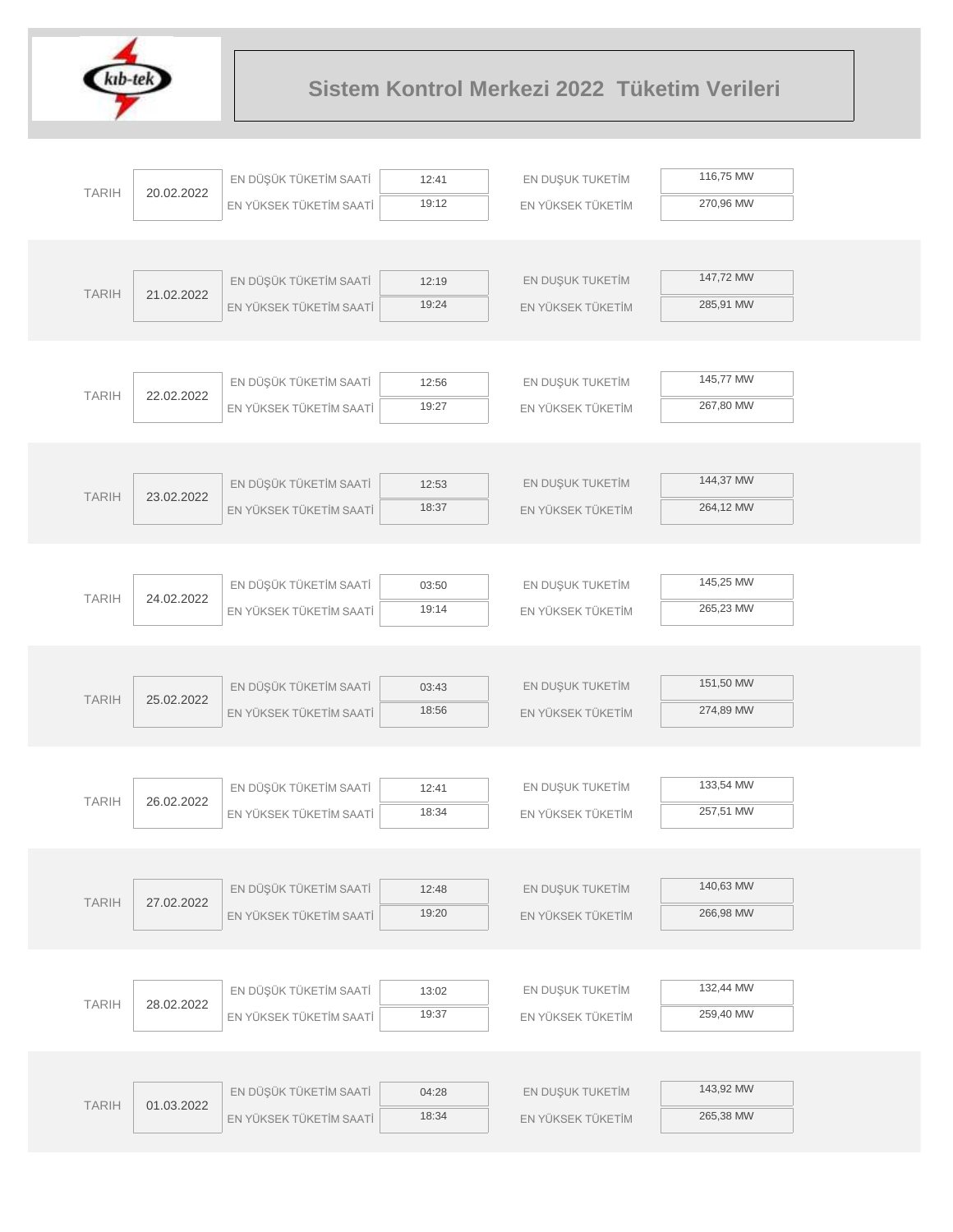

|              |            | EN DÜŞÜK TÜKETİM SAATİ  | 12:41 | EN DUŞUK TUKETİM  | 116,75 MW |
|--------------|------------|-------------------------|-------|-------------------|-----------|
| <b>TARIH</b> | 20.02.2022 | EN YÜKSEK TÜKETİM SAATİ | 19:12 | EN YÜKSEK TÜKETİM | 270,96 MW |
|              |            |                         |       |                   |           |
|              |            |                         |       |                   |           |
|              |            | EN DÜŞÜK TÜKETİM SAATİ  | 12:19 | EN DUŞUK TUKETİM  | 147,72 MW |
| <b>TARIH</b> | 21.02.2022 | EN YÜKSEK TÜKETİM SAATİ | 19:24 | EN YÜKSEK TÜKETİM | 285,91 MW |
|              |            |                         |       |                   |           |
|              |            |                         |       |                   |           |
|              |            | EN DÜŞÜK TÜKETİM SAATİ  | 12:56 | EN DUŞUK TUKETİM  | 145,77 MW |
| <b>TARIH</b> | 22.02.2022 | EN YÜKSEK TÜKETİM SAATİ | 19:27 | EN YÜKSEK TÜKETİM | 267,80 MW |
|              |            |                         |       |                   |           |
|              |            |                         |       |                   |           |
|              |            | EN DÜŞÜK TÜKETİM SAATİ  | 12:53 | EN DUŞUK TUKETİM  | 144,37 MW |
| <b>TARIH</b> | 23.02.2022 | EN YÜKSEK TÜKETİM SAATİ | 18:37 | EN YÜKSEK TÜKETİM | 264,12 MW |
|              |            |                         |       |                   |           |
|              |            |                         |       |                   |           |
|              |            | EN DÜŞÜK TÜKETİM SAATİ  | 03:50 | EN DUŞUK TUKETİM  | 145,25 MW |
| <b>TARIH</b> | 24.02.2022 | EN YÜKSEK TÜKETİM SAATİ | 19:14 | EN YÜKSEK TÜKETİM | 265,23 MW |
|              |            |                         |       |                   |           |
|              |            |                         |       |                   |           |
|              |            | EN DÜŞÜK TÜKETİM SAATİ  | 03:43 | EN DUŞUK TUKETİM  | 151,50 MW |
| <b>TARIH</b> | 25.02.2022 | EN YÜKSEK TÜKETİM SAATİ | 18:56 | EN YÜKSEK TÜKETİM | 274,89 MW |
|              |            |                         |       |                   |           |
|              |            |                         |       |                   |           |
|              |            | EN DÜŞÜK TÜKETİM SAATİ  | 12:41 | EN DUŞUK TUKETİM  | 133,54 MW |
| <b>TARIH</b> | 26.02.2022 | EN YÜKSEK TÜKETİM SAATİ | 18:34 | EN YÜKSEK TÜKETİM | 257,51 MW |
|              |            |                         |       |                   |           |
|              |            |                         |       |                   |           |
|              |            | EN DÜŞÜK TÜKETİM SAATİ  | 12:48 | EN DUŞUK TUKETİM  | 140,63 MW |
| <b>TARIH</b> | 27.02.2022 | EN YÜKSEK TÜKETİM SAATİ | 19:20 | EN YÜKSEK TÜKETİM | 266,98 MW |
|              |            |                         |       |                   |           |
|              |            |                         |       |                   |           |
|              |            | EN DÜŞÜK TÜKETİM SAATİ  | 13:02 | EN DUŞUK TUKETİM  | 132,44 MW |
| <b>TARIH</b> | 28.02.2022 | EN YÜKSEK TÜKETİM SAATİ | 19:37 | EN YÜKSEK TÜKETİM | 259,40 MW |
|              |            |                         |       |                   |           |
|              |            |                         |       |                   |           |
|              |            | EN DÜŞÜK TÜKETİM SAATİ  | 04:28 | EN DUŞUK TUKETİM  | 143,92 MW |
| <b>TARIH</b> | 01.03.2022 | EN YÜKSEK TÜKETİM SAATİ | 18:34 | EN YÜKSEK TÜKETİM | 265,38 MW |
|              |            |                         |       |                   |           |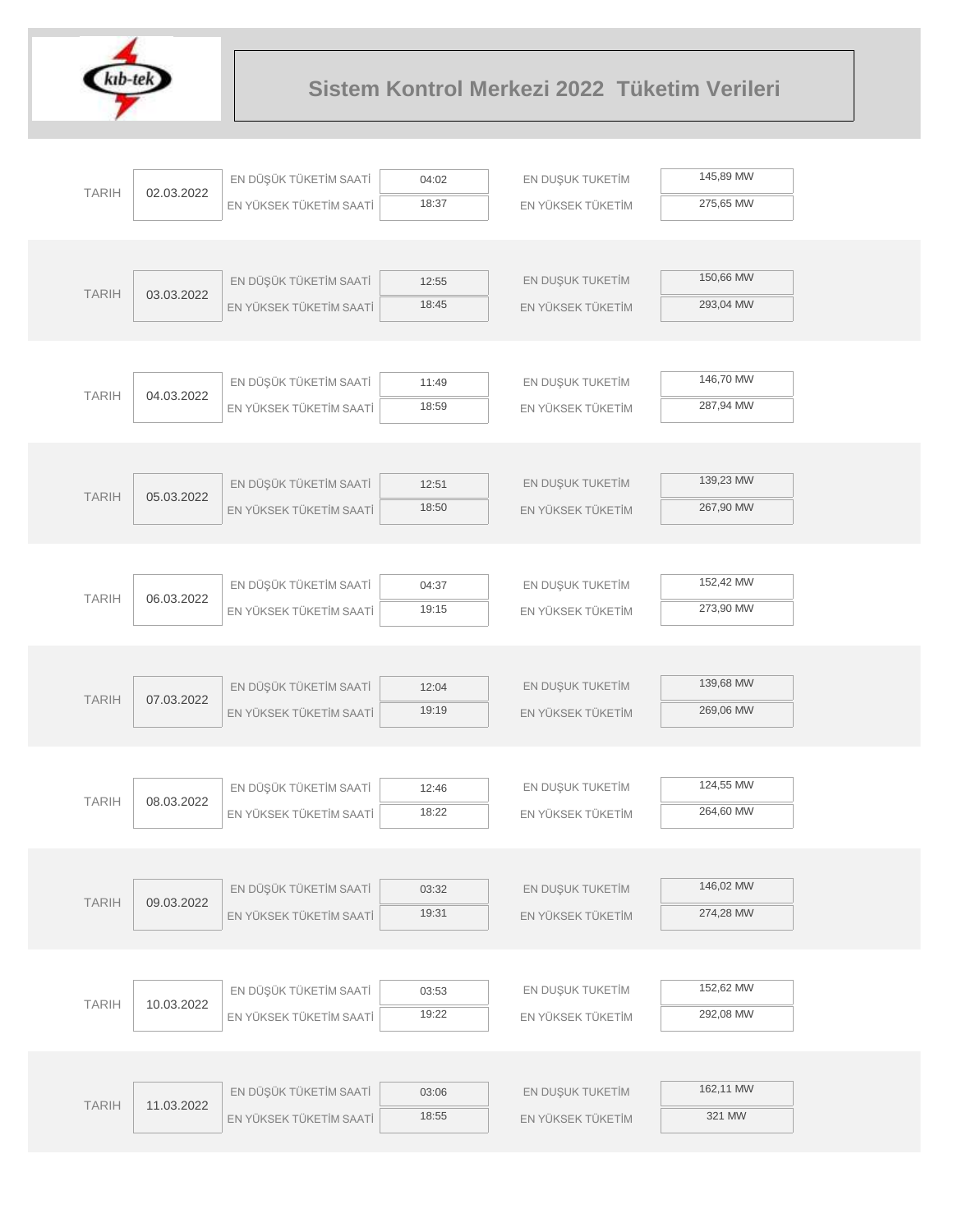

|              |            | EN DÜŞÜK TÜKETİM SAATİ  | 04:02          | EN DUŞUK TUKETİM  | 145,89 MW |  |
|--------------|------------|-------------------------|----------------|-------------------|-----------|--|
| <b>TARIH</b> | 02.03.2022 | EN YÜKSEK TÜKETİM SAATİ | 18:37          | EN YÜKSEK TÜKETİM | 275,65 MW |  |
|              |            |                         |                |                   |           |  |
|              |            |                         |                |                   |           |  |
| <b>TARIH</b> | 03.03.2022 | EN DÜŞÜK TÜKETİM SAATİ  | 12:55          | EN DUŞUK TUKETİM  | 150,66 MW |  |
|              |            | EN YÜKSEK TÜKETİM SAATİ | 18:45          | EN YÜKSEK TÜKETİM | 293,04 MW |  |
|              |            |                         |                |                   |           |  |
|              |            |                         |                |                   |           |  |
| <b>TARIH</b> | 04.03.2022 | EN DÜŞÜK TÜKETİM SAATİ  | 11:49          | EN DUŞUK TUKETİM  | 146,70 MW |  |
|              |            | EN YÜKSEK TÜKETİM SAATİ | 18:59          | EN YÜKSEK TÜKETİM | 287,94 MW |  |
|              |            |                         |                |                   |           |  |
|              |            |                         |                |                   |           |  |
| <b>TARIH</b> | 05.03.2022 | EN DÜŞÜK TÜKETİM SAATİ  | 12:51          | EN DUŞUK TUKETİM  | 139,23 MW |  |
|              |            | EN YÜKSEK TÜKETİM SAATİ | 18:50          | EN YÜKSEK TÜKETİM | 267,90 MW |  |
|              |            |                         |                |                   |           |  |
|              |            |                         |                |                   | 152,42 MW |  |
| <b>TARIH</b> | 06.03.2022 | EN DÜŞÜK TÜKETİM SAATİ  | 04:37<br>19:15 | EN DUŞUK TUKETİM  | 273,90 MW |  |
|              |            | EN YÜKSEK TÜKETİM SAATİ |                | EN YÜKSEK TÜKETİM |           |  |
|              |            |                         |                |                   |           |  |
|              |            | EN DÜŞÜK TÜKETİM SAATİ  | 12:04          | EN DUŞUK TUKETİM  | 139,68 MW |  |
| <b>TARIH</b> | 07.03.2022 | EN YÜKSEK TÜKETİM SAATİ | 19:19          | EN YÜKSEK TÜKETİM | 269,06 MW |  |
|              |            |                         |                |                   |           |  |
|              |            |                         |                |                   |           |  |
|              |            | EN DÜŞÜK TÜKETİM SAATİ  | 12:46          | EN DUŞUK TUKETİM  | 124,55 MW |  |
| <b>TARIH</b> | 08.03.2022 | EN YÜKSEK TÜKETİM SAATİ | 18:22          | EN YÜKSEK TÜKETİM | 264,60 MW |  |
|              |            |                         |                |                   |           |  |
|              |            |                         |                |                   |           |  |
| <b>TARIH</b> | 09.03.2022 | EN DÜŞÜK TÜKETİM SAATİ  | 03:32          | EN DUŞUK TUKETİM  | 146,02 MW |  |
|              |            | EN YÜKSEK TÜKETİM SAATİ | 19:31          | EN YÜKSEK TÜKETİM | 274,28 MW |  |
|              |            |                         |                |                   |           |  |
|              |            |                         |                |                   |           |  |
| <b>TARIH</b> | 10.03.2022 | EN DÜŞÜK TÜKETİM SAATİ  | 03:53          | EN DUŞUK TUKETİM  | 152,62 MW |  |
|              |            | EN YÜKSEK TÜKETİM SAATİ | 19:22          | EN YÜKSEK TÜKETİM | 292,08 MW |  |
|              |            |                         |                |                   |           |  |
|              |            |                         |                |                   |           |  |
| <b>TARIH</b> | 11.03.2022 | EN DÜŞÜK TÜKETİM SAATİ  | 03:06          | EN DUŞUK TUKETİM  | 162,11 MW |  |
|              |            | EN YÜKSEK TÜKETİM SAATİ | 18:55          | EN YÜKSEK TÜKETİM | 321 MW    |  |
|              |            |                         |                |                   |           |  |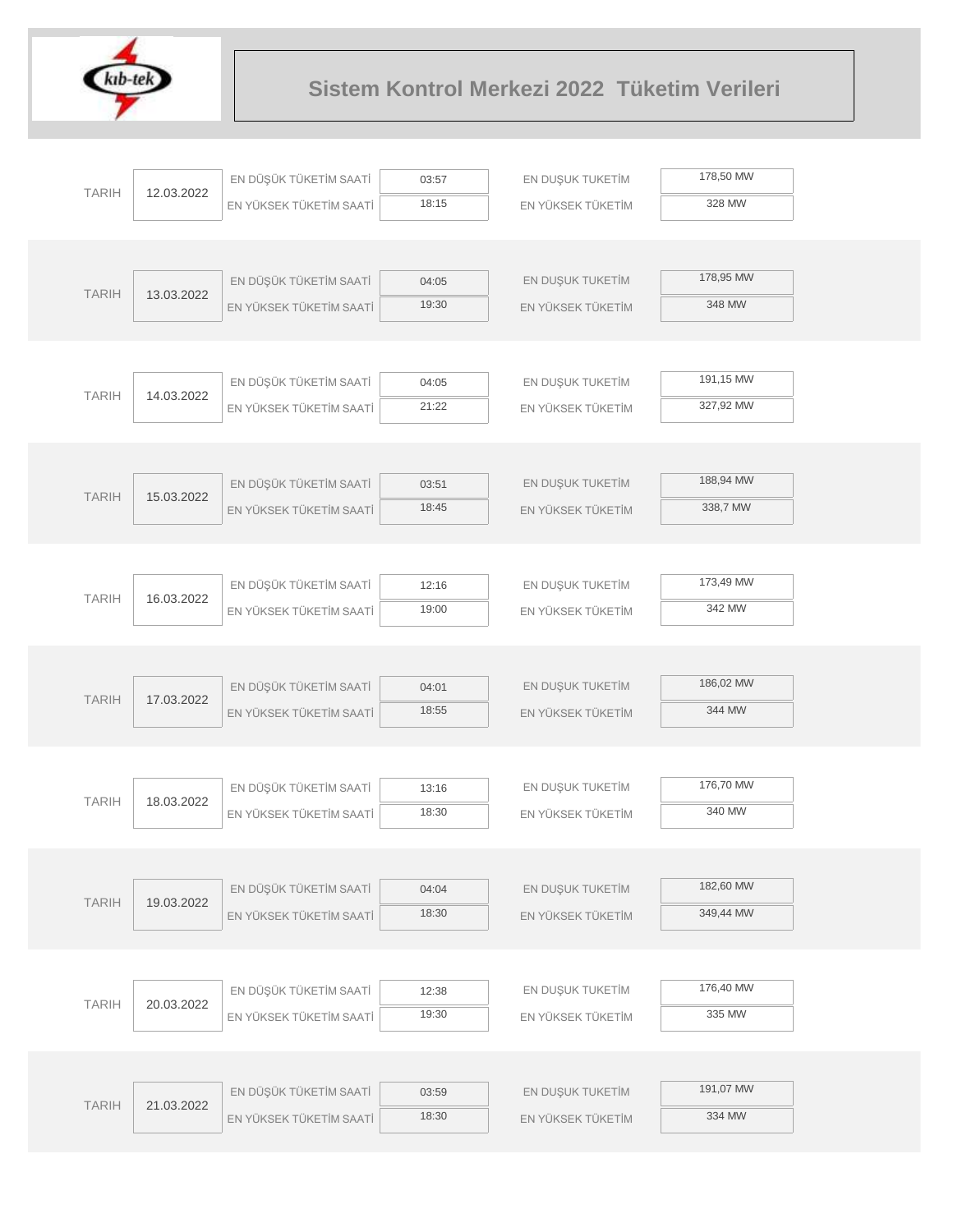

| <b>TARIH</b> | 12.03.2022 | EN DÜŞÜK TÜKETİM SAATİ  | 03:57          | EN DUŞUK TUKETİM  | 178,50 MW |
|--------------|------------|-------------------------|----------------|-------------------|-----------|
|              |            | EN YÜKSEK TÜKETİM SAATİ | 18:15          | EN YÜKSEK TÜKETİM | 328 MW    |
|              |            |                         |                |                   |           |
|              |            |                         |                |                   |           |
| <b>TARIH</b> | 13.03.2022 | EN DÜŞÜK TÜKETİM SAATİ  | 04:05          | EN DUŞUK TUKETİM  | 178,95 MW |
|              |            | EN YÜKSEK TÜKETİM SAATİ | 19:30          | EN YÜKSEK TÜKETİM | 348 MW    |
|              |            |                         |                |                   |           |
|              |            |                         |                |                   | 191,15 MW |
| <b>TARIH</b> | 14.03.2022 | EN DÜŞÜK TÜKETİM SAATİ  | 04:05          | EN DUŞUK TUKETİM  |           |
|              |            | EN YÜKSEK TÜKETİM SAATİ | 21:22          | EN YÜKSEK TÜKETİM | 327,92 MW |
|              |            |                         |                |                   |           |
|              |            | EN DÜŞÜK TÜKETİM SAATİ  | 03:51          | EN DUŞUK TUKETİM  | 188,94 MW |
| <b>TARIH</b> | 15.03.2022 | EN YÜKSEK TÜKETİM SAATİ | 18:45          | EN YÜKSEK TÜKETİM | 338,7 MW  |
|              |            |                         |                |                   |           |
|              |            |                         |                |                   |           |
|              |            | EN DÜŞÜK TÜKETİM SAATİ  | 12:16          | EN DUŞUK TUKETİM  | 173,49 MW |
| <b>TARIH</b> | 16.03.2022 | EN YÜKSEK TÜKETİM SAATİ | 19:00          | EN YÜKSEK TÜKETİM | 342 MW    |
|              |            |                         |                |                   |           |
|              |            |                         |                |                   |           |
|              |            | EN DÜŞÜK TÜKETİM SAATİ  | 04:01          | EN DUŞUK TUKETİM  | 186,02 MW |
| <b>TARIH</b> | 17.03.2022 | EN YÜKSEK TÜKETİM SAATİ | 18:55          | EN YÜKSEK TÜKETİM | 344 MW    |
|              |            |                         |                |                   |           |
|              |            |                         |                |                   |           |
| <b>TARIH</b> | 18.03.2022 | EN DÜŞÜK TÜKETİM SAATİ  | 13:16          | EN DUŞUK TUKETİM  | 176,70 MW |
|              |            | EN YÜKSEK TÜKETİM SAATİ | 18:30          | EN YÜKSEK TÜKETİM | 340 MW    |
|              |            |                         |                |                   |           |
|              |            |                         |                |                   |           |
| <b>TARIH</b> | 19.03.2022 | EN DÜŞÜK TÜKETİM SAATİ  | 04:04          | EN DUŞUK TUKETİM  | 182,60 MW |
|              |            | EN YÜKSEK TÜKETİM SAATİ | 18:30          | EN YÜKSEK TÜKETİM | 349,44 MW |
|              |            |                         |                |                   |           |
|              |            | EN DÜŞÜK TÜKETİM SAATİ  |                | EN DUŞUK TUKETİM  | 176,40 MW |
| <b>TARIH</b> | 20.03.2022 | EN YÜKSEK TÜKETİM SAATİ | 12:38<br>19:30 | EN YÜKSEK TÜKETİM | 335 MW    |
|              |            |                         |                |                   |           |
|              |            |                         |                |                   |           |
|              |            | EN DÜŞÜK TÜKETİM SAATİ  | 03:59          | EN DUŞUK TUKETİM  | 191,07 MW |
| <b>TARIH</b> | 21.03.2022 | EN YÜKSEK TÜKETİM SAATİ | 18:30          | EN YÜKSEK TÜKETİM | 334 MW    |
|              |            |                         |                |                   |           |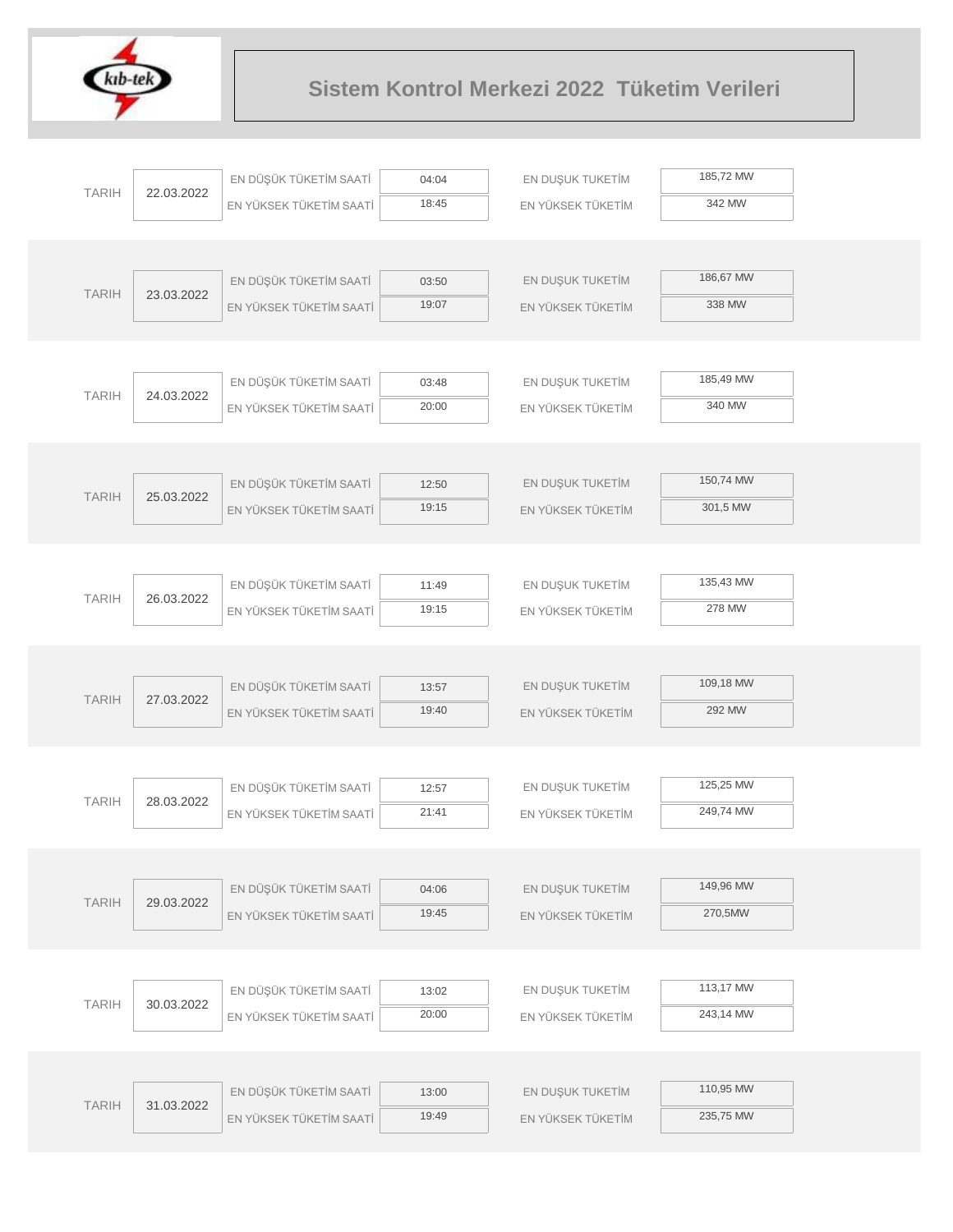

|  |              | EN DÜŞÜK TÜKETİM SAATİ | 04:04                   | EN DUŞUK TUKETİM | 185,72 MW         |           |
|--|--------------|------------------------|-------------------------|------------------|-------------------|-----------|
|  | <b>TARIH</b> | 22.03.2022             | EN YÜKSEK TÜKETİM SAATİ | 18:45            | EN YÜKSEK TÜKETİM | 342 MW    |
|  |              |                        |                         |                  |                   |           |
|  |              |                        |                         |                  |                   |           |
|  | <b>TARIH</b> | 23.03.2022             | EN DÜŞÜK TÜKETİM SAATİ  | 03:50            | EN DUŞUK TUKETİM  | 186,67 MW |
|  |              |                        | EN YÜKSEK TÜKETİM SAATİ | 19:07            | EN YÜKSEK TÜKETİM | 338 MW    |
|  |              |                        |                         |                  |                   |           |
|  |              |                        |                         |                  |                   |           |
|  | <b>TARIH</b> | 24.03.2022             | EN DÜŞÜK TÜKETİM SAATİ  | 03:48            | EN DUŞUK TUKETİM  | 185,49 MW |
|  |              |                        | EN YÜKSEK TÜKETİM SAATİ | 20:00            | EN YÜKSEK TÜKETİM | 340 MW    |
|  |              |                        |                         |                  |                   |           |
|  |              |                        |                         |                  |                   |           |
|  | <b>TARIH</b> | 25.03.2022             | EN DÜŞÜK TÜKETİM SAATİ  | 12:50            | EN DUŞUK TUKETİM  | 150,74 MW |
|  |              |                        | EN YÜKSEK TÜKETİM SAATİ | 19:15            | EN YÜKSEK TÜKETİM | 301,5 MW  |
|  |              |                        |                         |                  |                   |           |
|  |              |                        | EN DÜŞÜK TÜKETİM SAATİ  | 11:49            | EN DUŞUK TUKETİM  | 135,43 MW |
|  | <b>TARIH</b> | 26.03.2022             | EN YÜKSEK TÜKETİM SAATİ | 19:15            | EN YÜKSEK TÜKETİM | 278 MW    |
|  |              |                        |                         |                  |                   |           |
|  |              |                        |                         |                  |                   |           |
|  |              |                        | EN DÜŞÜK TÜKETİM SAATİ  | 13:57            | EN DUŞUK TUKETİM  | 109,18 MW |
|  | <b>TARIH</b> | 27.03.2022             | EN YÜKSEK TÜKETİM SAATİ | 19:40            | EN YÜKSEK TÜKETİM | 292 MW    |
|  |              |                        |                         |                  |                   |           |
|  |              |                        |                         |                  |                   |           |
|  |              |                        | EN DÜŞÜK TÜKETİM SAATİ  | 12:57            | EN DUŞUK TUKETİM  | 125,25 MW |
|  | <b>TARIH</b> | 28.03.2022             | EN YÜKSEK TÜKETİM SAATİ | 21:41            | EN YÜKSEK TÜKETİM | 249,74 MW |
|  |              |                        |                         |                  |                   |           |
|  |              |                        |                         |                  |                   |           |
|  | <b>TARIH</b> | 29.03.2022             | EN DÜŞÜK TÜKETİM SAATİ  | 04:06            | EN DUŞUK TUKETİM  | 149,96 MW |
|  |              |                        | EN YÜKSEK TÜKETİM SAATİ | 19:45            | EN YÜKSEK TÜKETİM | 270,5MW   |
|  |              |                        |                         |                  |                   |           |
|  |              |                        |                         |                  |                   |           |
|  | <b>TARIH</b> | 30.03.2022             | EN DÜŞÜK TÜKETİM SAATİ  | 13:02            | EN DUŞUK TUKETİM  | 113,17 MW |
|  |              |                        | EN YÜKSEK TÜKETİM SAATİ | 20:00            | EN YÜKSEK TÜKETİM | 243,14 MW |
|  |              |                        |                         |                  |                   |           |
|  |              |                        |                         |                  |                   |           |
|  | <b>TARIH</b> | 31.03.2022             | EN DÜŞÜK TÜKETİM SAATİ  | 13:00            | EN DUŞUK TUKETİM  | 110,95 MW |
|  |              |                        | EN YÜKSEK TÜKETİM SAATİ | 19:49            | EN YÜKSEK TÜKETİM | 235,75 MW |
|  |              |                        |                         |                  |                   |           |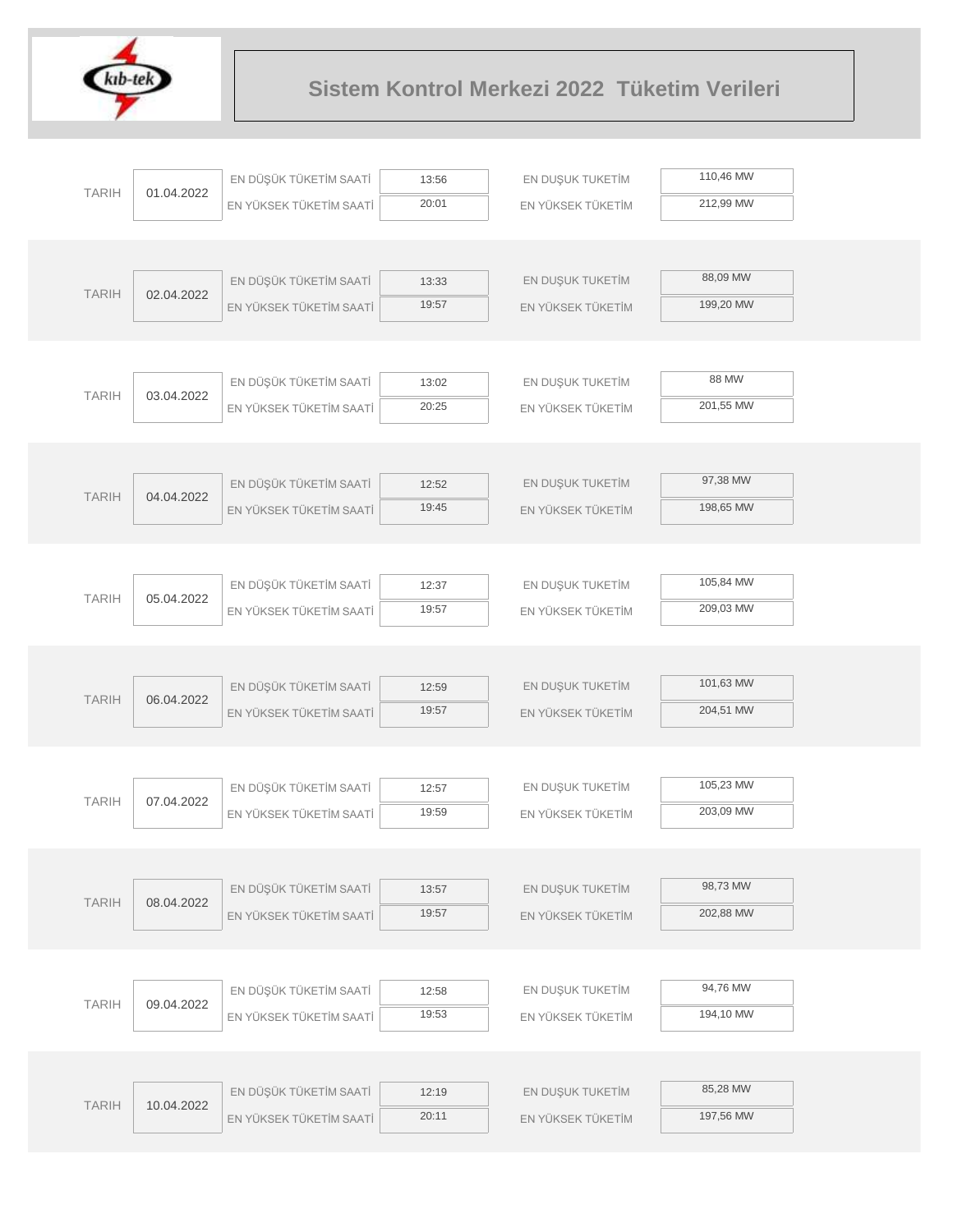

| <b>TARIH</b> |            | EN DÜŞÜK TÜKETİM SAATİ  | 13:56 | EN DUŞUK TUKETİM  | 110,46 MW |
|--------------|------------|-------------------------|-------|-------------------|-----------|
|              | 01.04.2022 | EN YÜKSEK TÜKETİM SAATİ | 20:01 | EN YÜKSEK TÜKETİM | 212,99 MW |
|              |            |                         |       |                   |           |
|              |            |                         |       |                   |           |
|              |            | EN DÜŞÜK TÜKETİM SAATİ  | 13:33 | EN DUŞUK TUKETİM  | 88,09 MW  |
| <b>TARIH</b> | 02.04.2022 | EN YÜKSEK TÜKETİM SAATİ | 19:57 | EN YÜKSEK TÜKETİM | 199,20 MW |
|              |            |                         |       |                   |           |
|              |            |                         |       |                   |           |
| <b>TARIH</b> | 03.04.2022 | EN DÜŞÜK TÜKETİM SAATİ  | 13:02 | EN DUŞUK TUKETİM  | 88 MW     |
|              |            | EN YÜKSEK TÜKETİM SAATİ | 20:25 | EN YÜKSEK TÜKETİM | 201,55 MW |
|              |            |                         |       |                   |           |
|              |            |                         |       |                   |           |
| <b>TARIH</b> | 04.04.2022 | EN DÜŞÜK TÜKETİM SAATİ  | 12:52 | EN DUŞUK TUKETİM  | 97,38 MW  |
|              |            | EN YÜKSEK TÜKETİM SAATİ | 19:45 | EN YÜKSEK TÜKETİM | 198,65 MW |
|              |            |                         |       |                   |           |
|              |            |                         |       |                   |           |
| <b>TARIH</b> | 05.04.2022 | EN DÜŞÜK TÜKETİM SAATİ  | 12:37 | EN DUŞUK TUKETİM  | 105,84 MW |
|              |            | EN YÜKSEK TÜKETİM SAATİ | 19:57 | EN YÜKSEK TÜKETİM | 209,03 MW |
|              |            |                         |       |                   |           |
|              |            | EN DÜŞÜK TÜKETİM SAATİ  | 12:59 | EN DUŞUK TUKETİM  | 101,63 MW |
| <b>TARIH</b> | 06.04.2022 | EN YÜKSEK TÜKETİM SAATİ | 19:57 | EN YÜKSEK TÜKETİM | 204,51 MW |
|              |            |                         |       |                   |           |
|              |            |                         |       |                   |           |
|              |            | EN DÜŞÜK TÜKETİM SAATİ  | 12:57 | EN DUŞUK TUKETİM  | 105,23 MW |
| <b>TARIH</b> | 07.04.2022 | EN YÜKSEK TÜKETİM SAATİ | 19:59 | EN YÜKSEK TÜKETİM | 203,09 MW |
|              |            |                         |       |                   |           |
|              |            |                         |       |                   |           |
|              |            | EN DÜŞÜK TÜKETİM SAATİ  | 13:57 | EN DUŞUK TUKETİM  | 98,73 MW  |
| <b>TARIH</b> | 08.04.2022 | EN YÜKSEK TÜKETİM SAATİ | 19:57 | EN YÜKSEK TÜKETİM | 202,88 MW |
|              |            |                         |       |                   |           |
|              |            |                         |       |                   |           |
|              |            | EN DÜŞÜK TÜKETİM SAATİ  | 12:58 | EN DUŞUK TUKETİM  | 94,76 MW  |
| <b>TARIH</b> | 09.04.2022 | EN YÜKSEK TÜKETİM SAATİ | 19:53 | EN YÜKSEK TÜKETİM | 194,10 MW |
|              |            |                         |       |                   |           |
|              |            |                         |       |                   |           |
| <b>TARIH</b> | 10.04.2022 | EN DÜŞÜK TÜKETİM SAATİ  | 12:19 | EN DUŞUK TUKETİM  | 85,28 MW  |
|              |            | EN YÜKSEK TÜKETİM SAATİ | 20:11 | EN YÜKSEK TÜKETİM | 197,56 MW |
|              |            |                         |       |                   |           |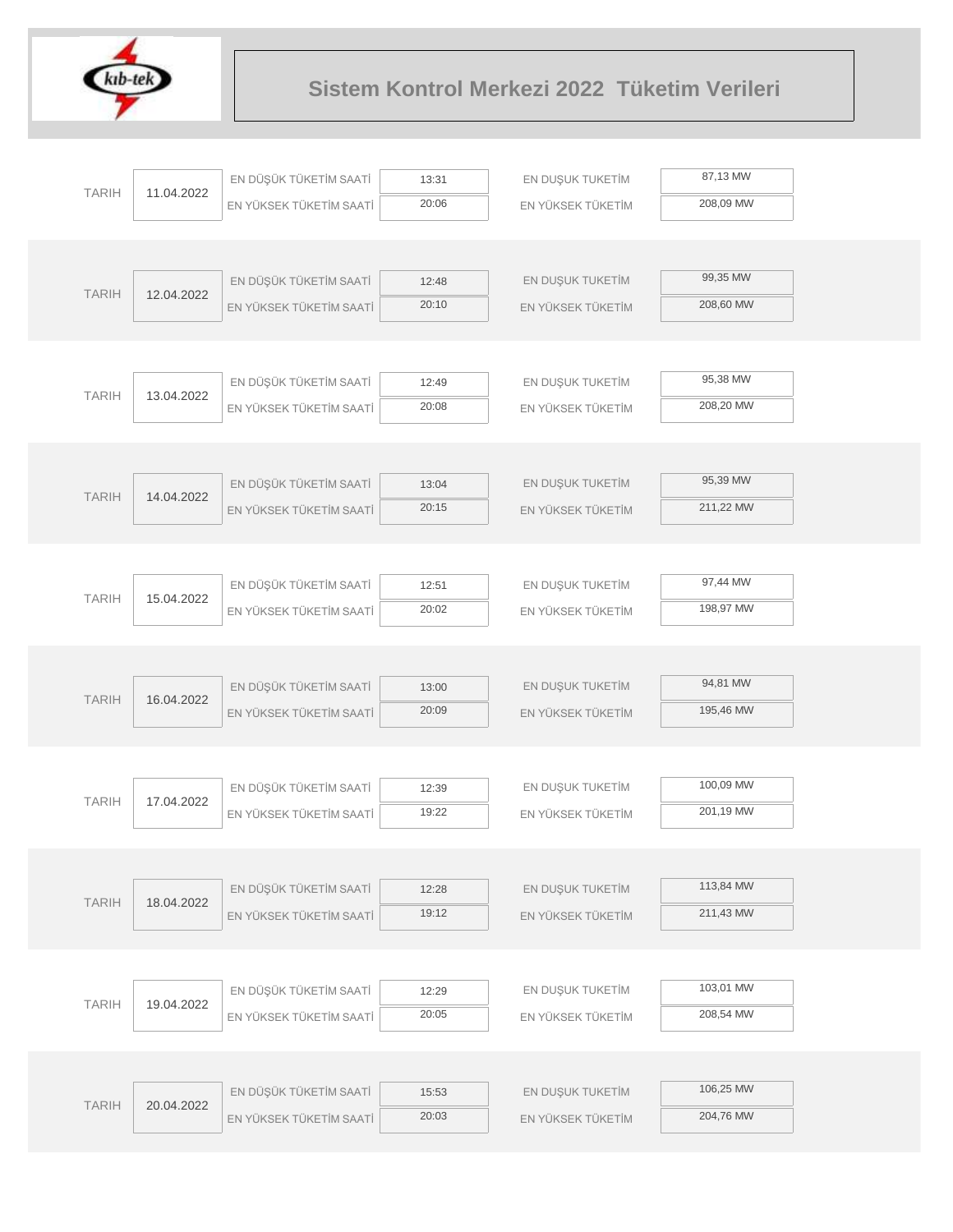

| <b>TARIH</b> |            | EN DÜŞÜK TÜKETİM SAATİ  | 13:31 | EN DUŞUK TUKETİM  | 87,13 MW  |
|--------------|------------|-------------------------|-------|-------------------|-----------|
|              | 11.04.2022 | EN YÜKSEK TÜKETİM SAATİ | 20:06 | EN YÜKSEK TÜKETİM | 208,09 MW |
|              |            |                         |       |                   |           |
|              |            |                         |       |                   |           |
|              |            | EN DÜŞÜK TÜKETİM SAATİ  | 12:48 | EN DUŞUK TUKETİM  | 99,35 MW  |
| <b>TARIH</b> | 12.04.2022 | EN YÜKSEK TÜKETİM SAATİ | 20:10 | EN YÜKSEK TÜKETİM | 208,60 MW |
|              |            |                         |       |                   |           |
|              |            |                         |       |                   |           |
|              |            | EN DÜŞÜK TÜKETİM SAATİ  | 12:49 | EN DUŞUK TUKETİM  | 95,38 MW  |
| <b>TARIH</b> | 13.04.2022 | EN YÜKSEK TÜKETİM SAATİ | 20:08 | EN YÜKSEK TÜKETİM | 208,20 MW |
|              |            |                         |       |                   |           |
|              |            |                         |       |                   |           |
|              |            | EN DÜŞÜK TÜKETİM SAATİ  | 13:04 | EN DUŞUK TUKETİM  | 95,39 MW  |
| <b>TARIH</b> | 14.04.2022 | EN YÜKSEK TÜKETİM SAATİ | 20:15 | EN YÜKSEK TÜKETİM | 211,22 MW |
|              |            |                         |       |                   |           |
|              |            |                         |       |                   |           |
|              |            | EN DÜŞÜK TÜKETİM SAATİ  | 12:51 | EN DUŞUK TUKETİM  | 97,44 MW  |
| <b>TARIH</b> | 15.04.2022 | EN YÜKSEK TÜKETİM SAATİ | 20:02 | EN YÜKSEK TÜKETİM | 198,97 MW |
|              |            |                         |       |                   |           |
|              |            |                         |       |                   |           |
|              |            | EN DÜŞÜK TÜKETİM SAATİ  | 13:00 | EN DUŞUK TUKETİM  | 94,81 MW  |
| <b>TARIH</b> | 16.04.2022 | EN YÜKSEK TÜKETİM SAATİ | 20:09 | EN YÜKSEK TÜKETİM | 195,46 MW |
|              |            |                         |       |                   |           |
|              |            |                         |       |                   |           |
|              |            | EN DÜŞÜK TÜKETİM SAATİ  | 12:39 | EN DUŞUK TUKETİM  | 100,09 MW |
| <b>TARIH</b> | 17.04.2022 | EN YÜKSEK TÜKETİM SAATİ | 19:22 | EN YÜKSEK TÜKETİM | 201,19 MW |
|              |            |                         |       |                   |           |
|              |            |                         |       |                   |           |
|              |            | EN DÜŞÜK TÜKETİM SAATİ  | 12:28 | EN DUŞUK TUKETİM  | 113,84 MW |
| <b>TARIH</b> | 18.04.2022 | EN YÜKSEK TÜKETİM SAATİ | 19:12 | EN YÜKSEK TÜKETİM | 211,43 MW |
|              |            |                         |       |                   |           |
|              |            |                         |       |                   |           |
|              |            | EN DÜŞÜK TÜKETİM SAATİ  | 12:29 | EN DUŞUK TUKETİM  | 103,01 MW |
| <b>TARIH</b> | 19.04.2022 | EN YÜKSEK TÜKETİM SAATİ | 20:05 | EN YÜKSEK TÜKETİM | 208,54 MW |
|              |            |                         |       |                   |           |
|              |            |                         |       |                   |           |
|              |            | EN DÜŞÜK TÜKETİM SAATİ  | 15:53 | EN DUŞUK TUKETİM  | 106,25 MW |
| <b>TARIH</b> | 20.04.2022 | EN YÜKSEK TÜKETİM SAATİ | 20:03 | EN YÜKSEK TÜKETİM | 204,76 MW |
|              |            |                         |       |                   |           |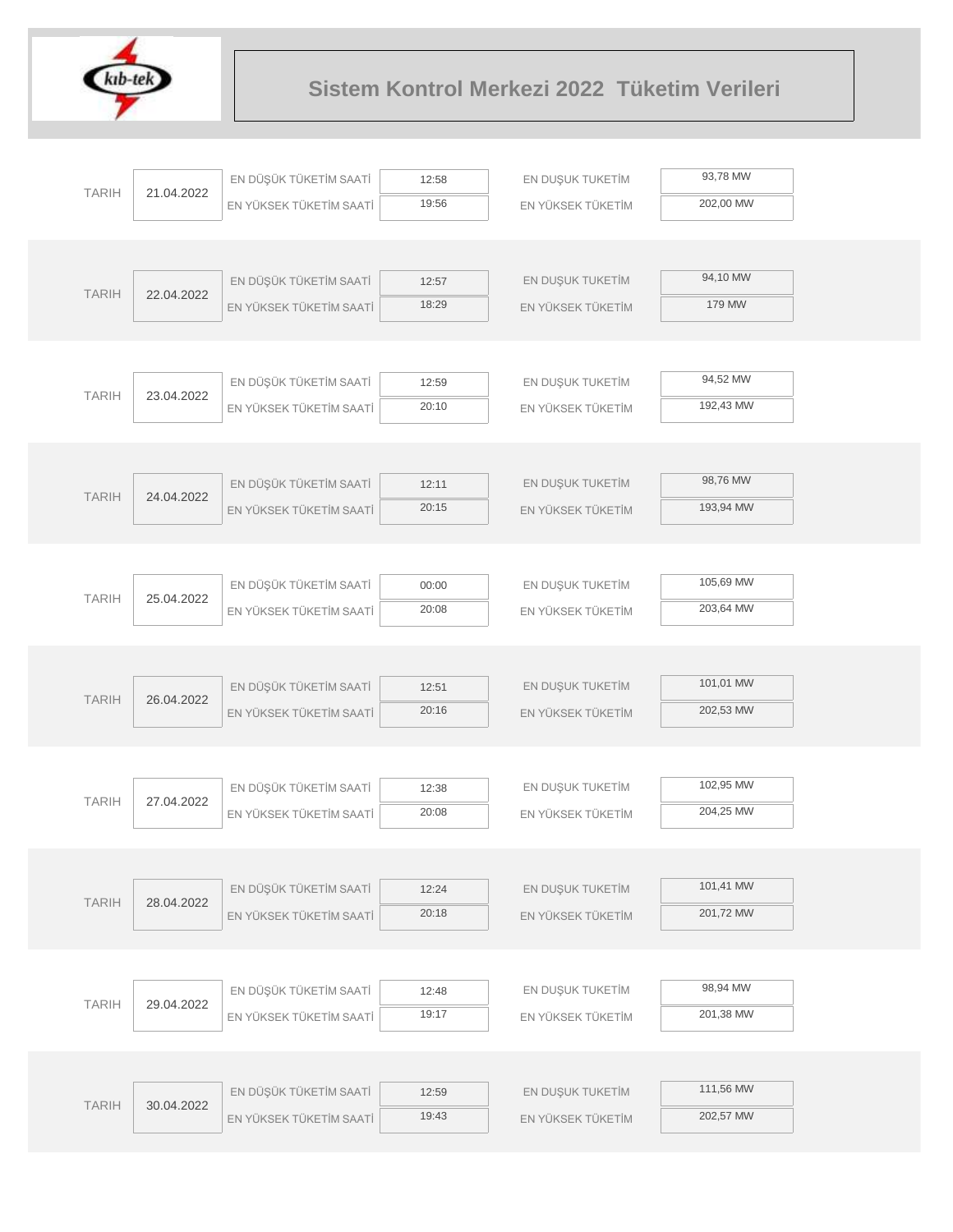

| <b>TARIH</b> | 21.04.2022 | EN DÜŞÜK TÜKETİM SAATİ                            | 12:58          | EN DUŞUK TUKETİM                      | 93,78 MW  |  |
|--------------|------------|---------------------------------------------------|----------------|---------------------------------------|-----------|--|
|              |            | EN YÜKSEK TÜKETİM SAATİ                           | 19:56          | EN YÜKSEK TÜKETİM                     | 202,00 MW |  |
|              |            |                                                   |                |                                       |           |  |
|              |            |                                                   |                |                                       |           |  |
| <b>TARIH</b> | 22.04.2022 | EN DÜŞÜK TÜKETİM SAATİ                            | 12:57          | EN DUŞUK TUKETİM                      | 94,10 MW  |  |
|              |            | EN YÜKSEK TÜKETİM SAATİ                           | 18:29          | EN YÜKSEK TÜKETİM                     | 179 MW    |  |
|              |            |                                                   |                |                                       |           |  |
|              |            |                                                   |                |                                       |           |  |
| <b>TARIH</b> | 23.04.2022 | EN DÜŞÜK TÜKETİM SAATİ                            | 12:59          | EN DUŞUK TUKETİM                      | 94,52 MW  |  |
|              |            | EN YÜKSEK TÜKETİM SAATİ                           | 20:10          | EN YÜKSEK TÜKETİM                     | 192,43 MW |  |
|              |            |                                                   |                |                                       |           |  |
|              |            |                                                   |                |                                       |           |  |
| <b>TARIH</b> | 24.04.2022 | EN DÜŞÜK TÜKETİM SAATİ                            | 12:11          | EN DUŞUK TUKETİM                      | 98,76 MW  |  |
|              |            | EN YÜKSEK TÜKETİM SAATİ                           | 20:15          | EN YÜKSEK TÜKETİM                     | 193,94 MW |  |
|              |            |                                                   |                |                                       |           |  |
|              |            |                                                   |                |                                       | 105,69 MW |  |
| <b>TARIH</b> | 25.04.2022 | EN DÜŞÜK TÜKETİM SAATİ                            | 00:00          | EN DUŞUK TUKETİM                      |           |  |
|              |            | EN YÜKSEK TÜKETİM SAATİ                           | 20:08          | EN YÜKSEK TÜKETİM                     | 203,64 MW |  |
|              |            |                                                   |                |                                       |           |  |
|              |            |                                                   |                |                                       | 101,01 MW |  |
| <b>TARIH</b> | 26.04.2022 | EN DÜŞÜK TÜKETİM SAATİ<br>EN YÜKSEK TÜKETİM SAATİ | 12:51<br>20:16 | EN DUŞUK TUKETİM<br>EN YÜKSEK TÜKETİM | 202,53 MW |  |
|              |            |                                                   |                |                                       |           |  |
|              |            |                                                   |                |                                       |           |  |
|              |            | EN DÜŞÜK TÜKETİM SAATİ                            | 12:38          | EN DUŞUK TUKETİM                      | 102,95 MW |  |
| <b>TARIH</b> | 27.04.2022 | EN YÜKSEK TÜKETİM SAATİ                           | 20:08          | EN YÜKSEK TÜKETİM                     | 204,25 MW |  |
|              |            |                                                   |                |                                       |           |  |
|              |            |                                                   |                |                                       |           |  |
|              |            | EN DÜŞÜK TÜKETİM SAATİ                            | 12:24          | EN DUŞUK TUKETİM                      | 101,41 MW |  |
| <b>TARIH</b> | 28.04.2022 | EN YÜKSEK TÜKETİM SAATİ                           | 20:18          | EN YÜKSEK TÜKETİM                     | 201,72 MW |  |
|              |            |                                                   |                |                                       |           |  |
|              |            |                                                   |                |                                       |           |  |
|              |            | EN DÜŞÜK TÜKETİM SAATİ                            | 12:48          | EN DUŞUK TUKETİM                      | 98,94 MW  |  |
| <b>TARIH</b> | 29.04.2022 | EN YÜKSEK TÜKETİM SAATİ                           | 19:17          | EN YÜKSEK TÜKETİM                     | 201,38 MW |  |
|              |            |                                                   |                |                                       |           |  |
|              |            |                                                   |                |                                       |           |  |
|              |            | EN DÜŞÜK TÜKETİM SAATİ                            | 12:59          | EN DUŞUK TUKETİM                      | 111,56 MW |  |
| <b>TARIH</b> | 30.04.2022 | EN YÜKSEK TÜKETİM SAATİ                           | 19:43          | EN YÜKSEK TÜKETİM                     | 202,57 MW |  |
|              |            |                                                   |                |                                       |           |  |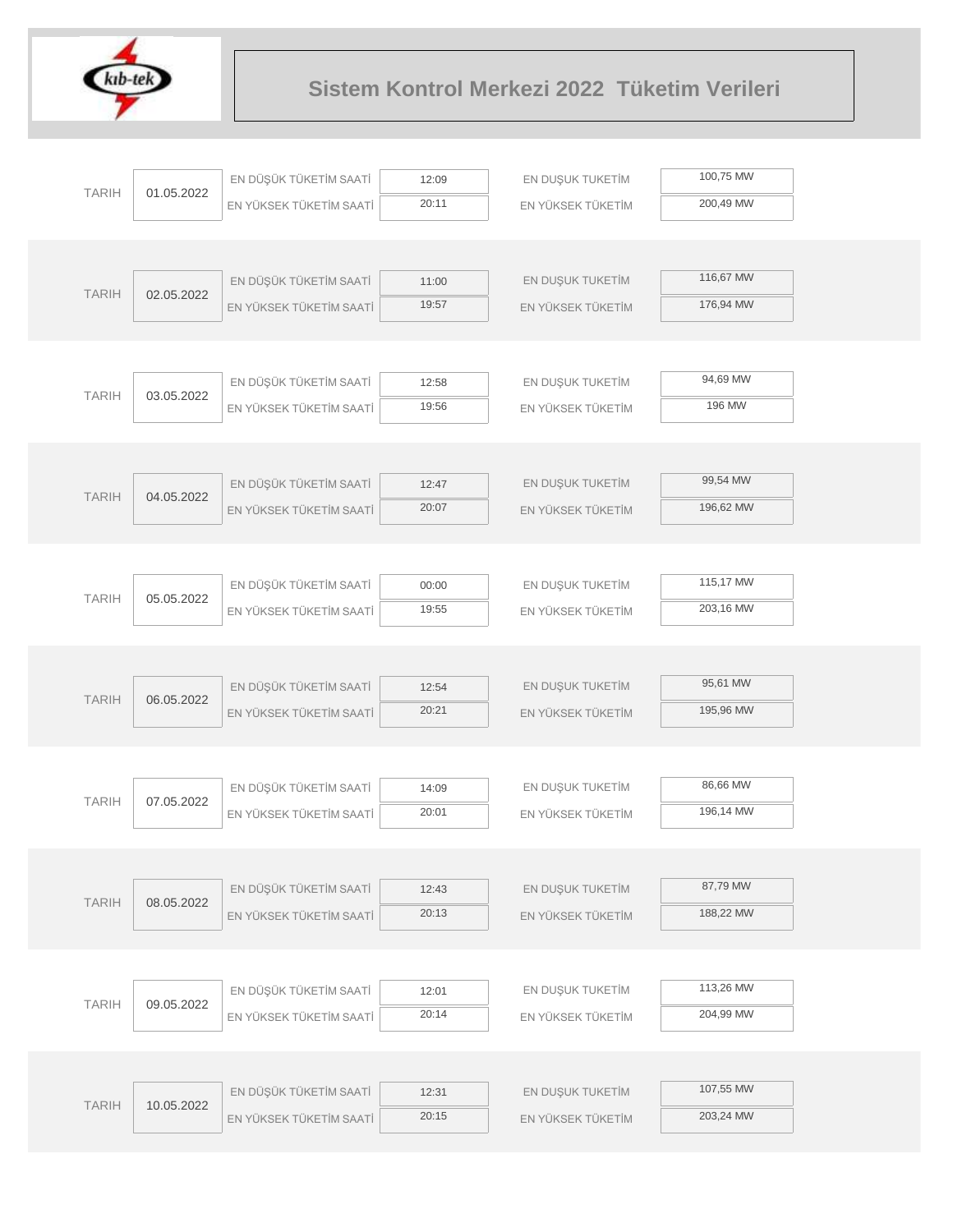

|              |            | EN DÜŞÜK TÜKETİM SAATİ  | 12:09          | EN DUŞUK TUKETİM  | 100,75 MW |
|--------------|------------|-------------------------|----------------|-------------------|-----------|
| <b>TARIH</b> | 01.05.2022 | EN YÜKSEK TÜKETİM SAATİ | 20:11          | EN YÜKSEK TÜKETİM | 200,49 MW |
|              |            |                         |                |                   |           |
|              |            |                         |                |                   |           |
| <b>TARIH</b> | 02.05.2022 | EN DÜŞÜK TÜKETİM SAATİ  | 11:00          | EN DUŞUK TUKETİM  | 116,67 MW |
|              |            | EN YÜKSEK TÜKETİM SAATİ | 19:57          | EN YÜKSEK TÜKETİM | 176,94 MW |
|              |            |                         |                |                   |           |
|              |            |                         |                |                   |           |
| <b>TARIH</b> | 03.05.2022 | EN DÜŞÜK TÜKETİM SAATİ  | 12:58          | EN DUŞUK TUKETİM  | 94,69 MW  |
|              |            | EN YÜKSEK TÜKETİM SAATİ | 19:56          | EN YÜKSEK TÜKETİM | 196 MW    |
|              |            |                         |                |                   |           |
|              |            |                         |                |                   |           |
| <b>TARIH</b> | 04.05.2022 | EN DÜŞÜK TÜKETİM SAATİ  | 12:47          | EN DUŞUK TUKETİM  | 99,54 MW  |
|              |            | EN YÜKSEK TÜKETİM SAATİ | 20:07          | EN YÜKSEK TÜKETİM | 196,62 MW |
|              |            |                         |                |                   |           |
|              |            |                         |                |                   |           |
| <b>TARIH</b> | 05.05.2022 | EN DÜŞÜK TÜKETİM SAATİ  | 00:00          | EN DUŞUK TUKETİM  | 115,17 MW |
|              |            | EN YÜKSEK TÜKETİM SAATİ | 19:55          | EN YÜKSEK TÜKETİM | 203,16 MW |
|              |            |                         |                |                   |           |
|              |            |                         |                |                   |           |
| <b>TARIH</b> | 06.05.2022 | EN DÜŞÜK TÜKETİM SAATİ  | 12:54          | EN DUŞUK TUKETİM  | 95,61 MW  |
|              |            | EN YÜKSEK TÜKETİM SAATİ | 20:21          | EN YÜKSEK TÜKETİM | 195,96 MW |
|              |            |                         |                |                   |           |
|              |            |                         |                |                   |           |
| <b>TARIH</b> | 07.05.2022 | EN DÜŞÜK TÜKETİM SAATİ  | 14:09          | EN DUŞUK TUKETİM  | 86,66 MW  |
|              |            | EN YÜKSEK TÜKETİM SAATİ | 20:01          | EN YÜKSEK TÜKETİM | 196,14 MW |
|              |            |                         |                |                   |           |
|              |            |                         |                |                   | 87,79 MW  |
| <b>TARIH</b> | 08.05.2022 | EN DÜŞÜK TÜKETİM SAATİ  | 12:43          | EN DUŞUK TUKETİM  |           |
|              |            | EN YÜKSEK TÜKETİM SAATİ | 20:13          | EN YÜKSEK TÜKETİM | 188,22 MW |
|              |            |                         |                |                   |           |
|              |            |                         |                |                   | 113,26 MW |
| <b>TARIH</b> | 09.05.2022 | EN DÜŞÜK TÜKETİM SAATİ  | 12:01<br>20:14 | EN DUŞUK TUKETİM  | 204,99 MW |
|              |            | EN YÜKSEK TÜKETİM SAATİ |                | EN YÜKSEK TÜKETİM |           |
|              |            |                         |                |                   |           |
|              |            | EN DÜŞÜK TÜKETİM SAATİ  |                | EN DUŞUK TUKETİM  | 107,55 MW |
| <b>TARIH</b> | 10.05.2022 |                         | 12:31<br>20:15 |                   | 203,24 MW |
|              |            | EN YÜKSEK TÜKETİM SAATİ |                | EN YÜKSEK TÜKETİM |           |
|              |            |                         |                |                   |           |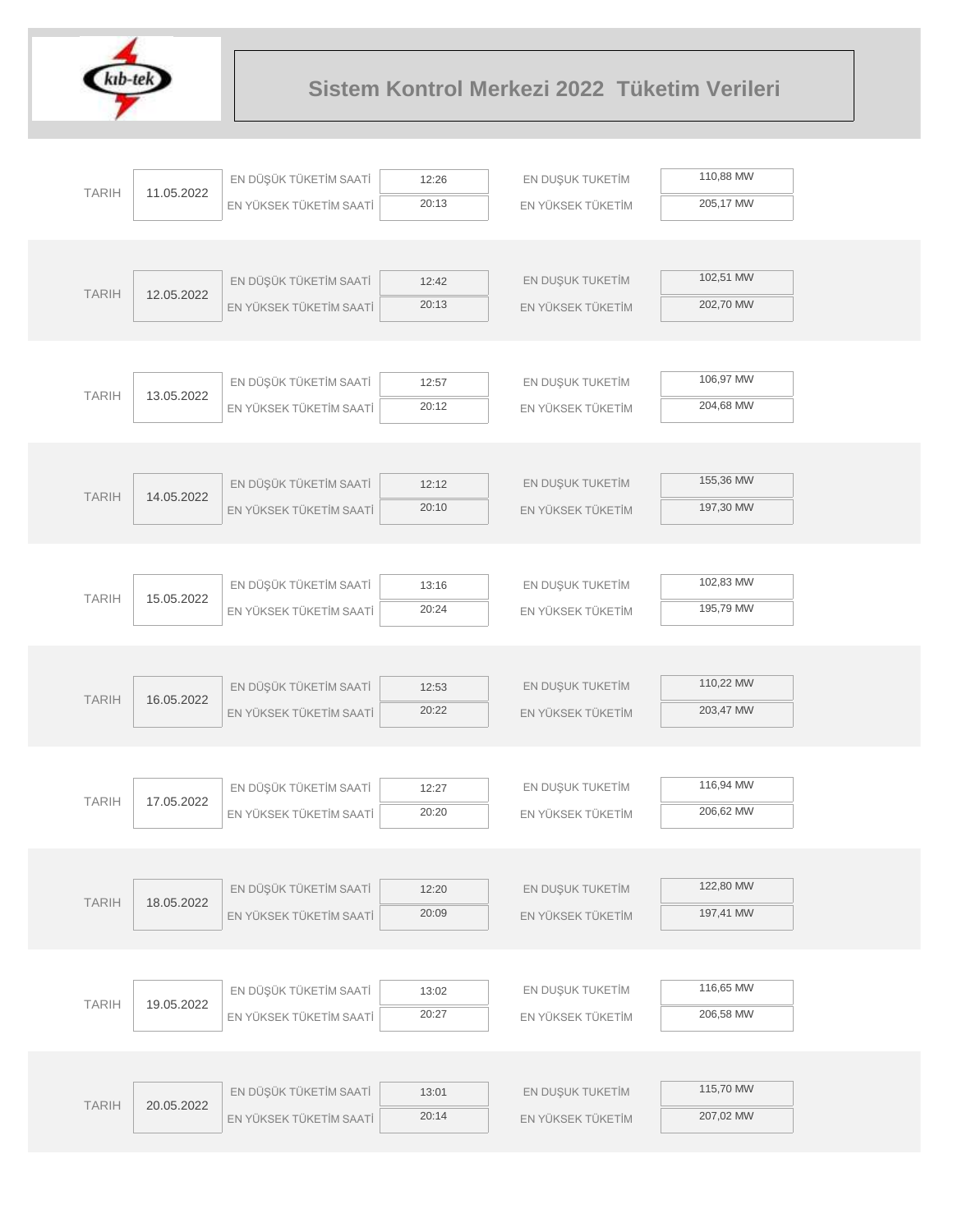

|              |            | EN DÜŞÜK TÜKETİM SAATİ  | 12:26          | EN DUŞUK TUKETİM  | 110,88 MW |  |
|--------------|------------|-------------------------|----------------|-------------------|-----------|--|
| <b>TARIH</b> | 11.05.2022 | EN YÜKSEK TÜKETİM SAATİ | 20:13          | EN YÜKSEK TÜKETİM | 205,17 MW |  |
|              |            |                         |                |                   |           |  |
|              |            |                         |                |                   |           |  |
| <b>TARIH</b> | 12.05.2022 | EN DÜŞÜK TÜKETİM SAATİ  | 12:42          | EN DUŞUK TUKETİM  | 102,51 MW |  |
|              |            | EN YÜKSEK TÜKETİM SAATİ | 20:13          | EN YÜKSEK TÜKETİM | 202,70 MW |  |
|              |            |                         |                |                   |           |  |
|              |            |                         |                |                   |           |  |
| <b>TARIH</b> | 13.05.2022 | EN DÜŞÜK TÜKETİM SAATİ  | 12:57          | EN DUŞUK TUKETİM  | 106,97 MW |  |
|              |            | EN YÜKSEK TÜKETİM SAATİ | 20:12          | EN YÜKSEK TÜKETİM | 204,68 MW |  |
|              |            |                         |                |                   |           |  |
|              |            | EN DÜŞÜK TÜKETİM SAATİ  | 12:12          | EN DUŞUK TUKETİM  | 155,36 MW |  |
| <b>TARIH</b> | 14.05.2022 | EN YÜKSEK TÜKETİM SAATİ | 20:10          | EN YÜKSEK TÜKETİM | 197,30 MW |  |
|              |            |                         |                |                   |           |  |
|              |            |                         |                |                   |           |  |
|              |            | EN DÜŞÜK TÜKETİM SAATİ  | 13:16          | EN DUŞUK TUKETİM  | 102,83 MW |  |
| <b>TARIH</b> | 15.05.2022 | EN YÜKSEK TÜKETİM SAATİ | 20:24          | EN YÜKSEK TÜKETİM | 195,79 MW |  |
|              |            |                         |                |                   |           |  |
|              |            |                         |                |                   |           |  |
|              | 16.05.2022 | EN DÜŞÜK TÜKETİM SAATİ  | 12:53          | EN DUŞUK TUKETİM  | 110,22 MW |  |
| <b>TARIH</b> |            | EN YÜKSEK TÜKETİM SAATİ | 20:22          | EN YÜKSEK TÜKETİM | 203,47 MW |  |
|              |            |                         |                |                   |           |  |
|              |            |                         |                |                   |           |  |
| <b>TARIH</b> | 17.05.2022 | EN DÜŞÜK TÜKETİM SAATİ  | 12:27          | EN DUŞUK TUKETİM  | 116,94 MW |  |
|              |            | EN YÜKSEK TÜKETİM SAATİ | 20:20          | EN YÜKSEK TÜKETİM | 206,62 MW |  |
|              |            |                         |                |                   |           |  |
|              |            |                         |                |                   | 122,80 MW |  |
| <b>TARIH</b> | 18.05.2022 | EN DÜŞÜK TÜKETİM SAATİ  | 12:20<br>20:09 | EN DUŞUK TUKETİM  | 197,41 MW |  |
|              |            | EN YÜKSEK TÜKETİM SAATİ |                | EN YÜKSEK TÜKETİM |           |  |
|              |            |                         |                |                   |           |  |
|              |            | EN DÜŞÜK TÜKETİM SAATİ  | 13:02          | EN DUŞUK TUKETİM  | 116,65 MW |  |
| <b>TARIH</b> | 19.05.2022 | EN YÜKSEK TÜKETİM SAATİ | 20:27          | EN YÜKSEK TÜKETİM | 206,58 MW |  |
|              |            |                         |                |                   |           |  |
|              |            |                         |                |                   |           |  |
|              |            | EN DÜŞÜK TÜKETİM SAATİ  | 13:01          | EN DUŞUK TUKETİM  | 115,70 MW |  |
| <b>TARIH</b> | 20.05.2022 | EN YÜKSEK TÜKETİM SAATİ | 20:14          | EN YÜKSEK TÜKETİM | 207,02 MW |  |
|              |            |                         |                |                   |           |  |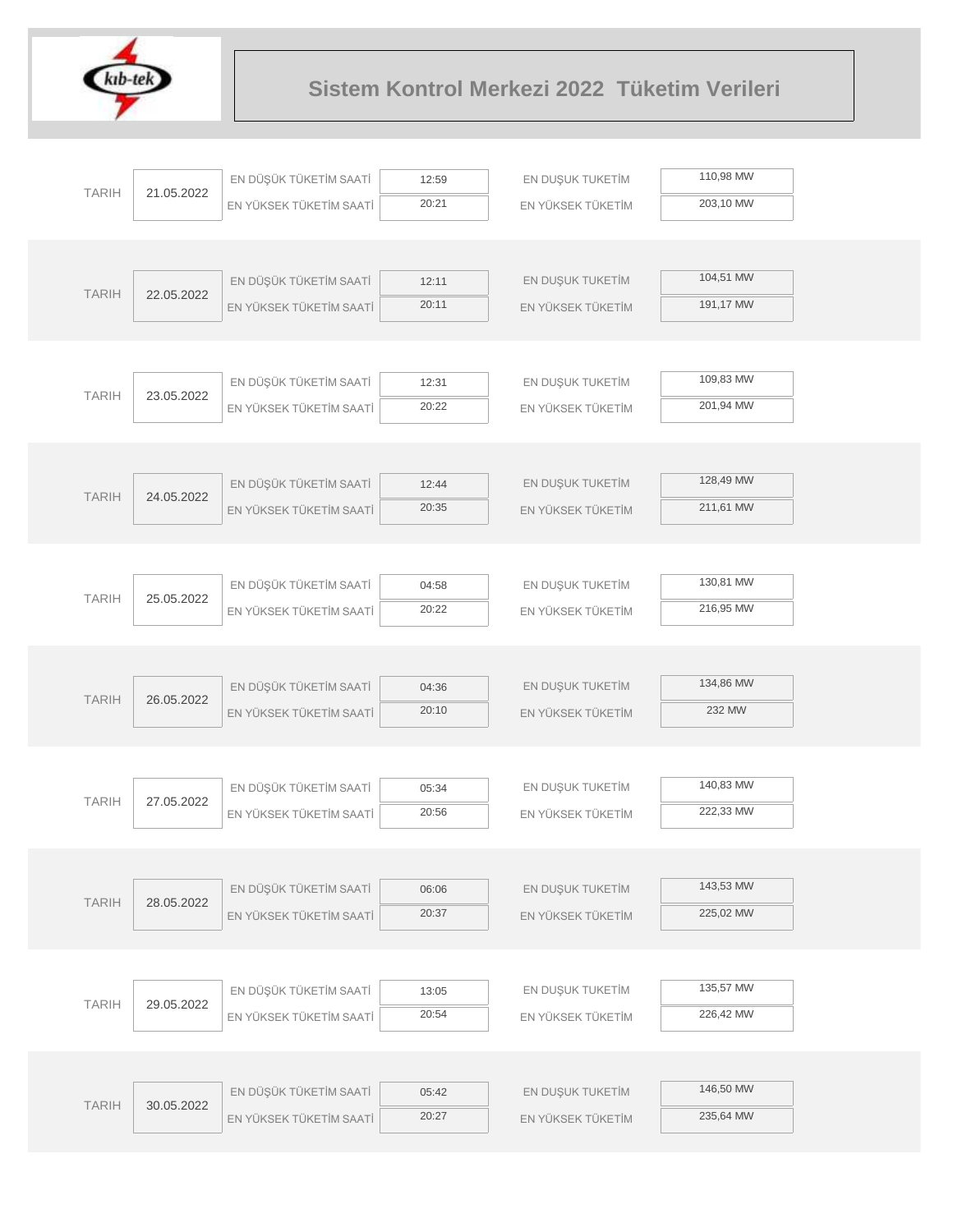

| 110,98 MW<br>EN DÜŞÜK TÜKETİM SAATİ<br>EN DUŞUK TUKETİM<br>12:59<br><b>TARIH</b><br>21.05.2022<br>20:21<br>203,10 MW<br>EN YÜKSEK TÜKETİM SAATİ<br>EN YÜKSEK TÜKETİM<br>104,51 MW<br>EN DÜŞÜK TÜKETİM SAATİ<br>EN DUŞUK TUKETİM<br>12:11<br><b>TARIH</b><br>22.05.2022<br>20:11<br>191,17 MW<br>EN YÜKSEK TÜKETİM SAATİ<br>EN YÜKSEK TÜKETİM<br>109,83 MW<br>EN DÜŞÜK TÜKETİM SAATİ<br>EN DUŞUK TUKETİM<br>12:31<br><b>TARIH</b><br>23.05.2022<br>201,94 MW<br>20:22<br>EN YÜKSEK TÜKETİM SAATİ<br>EN YÜKSEK TÜKETİM<br>128,49 MW<br>EN DÜŞÜK TÜKETİM SAATİ<br>EN DUŞUK TUKETİM<br>12:44<br><b>TARIH</b><br>24.05.2022<br>20:35<br>211,61 MW<br>EN YÜKSEK TÜKETİM SAATİ<br>EN YÜKSEK TÜKETİM<br>130,81 MW<br>EN DÜŞÜK TÜKETİM SAATİ<br>EN DUŞUK TUKETİM<br>04:58<br><b>TARIH</b><br>25.05.2022<br>216,95 MW<br>20:22<br>EN YÜKSEK TÜKETİM SAATİ<br>EN YÜKSEK TÜKETİM<br>134,86 MW<br>EN DÜŞÜK TÜKETİM SAATİ<br>EN DUŞUK TUKETİM<br>04:36<br><b>TARIH</b><br>26.05.2022<br>232 MW<br>20:10<br>EN YÜKSEK TÜKETİM SAATİ<br>EN YÜKSEK TÜKETİM<br>140,83 MW<br>EN DÜŞÜK TÜKETİM SAATİ<br>EN DUŞUK TUKETİM<br>05:34<br><b>TARIH</b><br>27.05.2022<br>222,33 MW<br>20:56<br>EN YÜKSEK TÜKETİM SAATİ<br>EN YÜKSEK TÜKETİM<br>143,53 MW<br>EN DÜŞÜK TÜKETİM SAATİ<br>EN DUŞUK TUKETİM<br>06:06<br><b>TARIH</b><br>28.05.2022<br>225,02 MW<br>20:37<br>EN YÜKSEK TÜKETİM SAATİ<br>EN YÜKSEK TÜKETİM<br>135,57 MW<br>EN DÜŞÜK TÜKETİM SAATİ<br>EN DUŞUK TUKETİM<br>13:05<br><b>TARIH</b><br>29.05.2022<br>226,42 MW<br>20:54<br>EN YÜKSEK TÜKETİM SAATİ<br>EN YÜKSEK TÜKETİM<br>146,50 MW<br>EN DÜŞÜK TÜKETİM SAATİ<br>EN DUŞUK TUKETİM<br>05:42<br><b>TARIH</b><br>30.05.2022<br>235,64 MW<br>20:27<br>EN YÜKSEK TÜKETİM SAATİ<br>EN YÜKSEK TÜKETİM |  |  |  |  |
|-------------------------------------------------------------------------------------------------------------------------------------------------------------------------------------------------------------------------------------------------------------------------------------------------------------------------------------------------------------------------------------------------------------------------------------------------------------------------------------------------------------------------------------------------------------------------------------------------------------------------------------------------------------------------------------------------------------------------------------------------------------------------------------------------------------------------------------------------------------------------------------------------------------------------------------------------------------------------------------------------------------------------------------------------------------------------------------------------------------------------------------------------------------------------------------------------------------------------------------------------------------------------------------------------------------------------------------------------------------------------------------------------------------------------------------------------------------------------------------------------------------------------------------------------------------------------------------------------------------------------------------------------------------------------------------------------------------------------------------------|--|--|--|--|
|                                                                                                                                                                                                                                                                                                                                                                                                                                                                                                                                                                                                                                                                                                                                                                                                                                                                                                                                                                                                                                                                                                                                                                                                                                                                                                                                                                                                                                                                                                                                                                                                                                                                                                                                           |  |  |  |  |
|                                                                                                                                                                                                                                                                                                                                                                                                                                                                                                                                                                                                                                                                                                                                                                                                                                                                                                                                                                                                                                                                                                                                                                                                                                                                                                                                                                                                                                                                                                                                                                                                                                                                                                                                           |  |  |  |  |
|                                                                                                                                                                                                                                                                                                                                                                                                                                                                                                                                                                                                                                                                                                                                                                                                                                                                                                                                                                                                                                                                                                                                                                                                                                                                                                                                                                                                                                                                                                                                                                                                                                                                                                                                           |  |  |  |  |
|                                                                                                                                                                                                                                                                                                                                                                                                                                                                                                                                                                                                                                                                                                                                                                                                                                                                                                                                                                                                                                                                                                                                                                                                                                                                                                                                                                                                                                                                                                                                                                                                                                                                                                                                           |  |  |  |  |
|                                                                                                                                                                                                                                                                                                                                                                                                                                                                                                                                                                                                                                                                                                                                                                                                                                                                                                                                                                                                                                                                                                                                                                                                                                                                                                                                                                                                                                                                                                                                                                                                                                                                                                                                           |  |  |  |  |
|                                                                                                                                                                                                                                                                                                                                                                                                                                                                                                                                                                                                                                                                                                                                                                                                                                                                                                                                                                                                                                                                                                                                                                                                                                                                                                                                                                                                                                                                                                                                                                                                                                                                                                                                           |  |  |  |  |
|                                                                                                                                                                                                                                                                                                                                                                                                                                                                                                                                                                                                                                                                                                                                                                                                                                                                                                                                                                                                                                                                                                                                                                                                                                                                                                                                                                                                                                                                                                                                                                                                                                                                                                                                           |  |  |  |  |
|                                                                                                                                                                                                                                                                                                                                                                                                                                                                                                                                                                                                                                                                                                                                                                                                                                                                                                                                                                                                                                                                                                                                                                                                                                                                                                                                                                                                                                                                                                                                                                                                                                                                                                                                           |  |  |  |  |
|                                                                                                                                                                                                                                                                                                                                                                                                                                                                                                                                                                                                                                                                                                                                                                                                                                                                                                                                                                                                                                                                                                                                                                                                                                                                                                                                                                                                                                                                                                                                                                                                                                                                                                                                           |  |  |  |  |
|                                                                                                                                                                                                                                                                                                                                                                                                                                                                                                                                                                                                                                                                                                                                                                                                                                                                                                                                                                                                                                                                                                                                                                                                                                                                                                                                                                                                                                                                                                                                                                                                                                                                                                                                           |  |  |  |  |
|                                                                                                                                                                                                                                                                                                                                                                                                                                                                                                                                                                                                                                                                                                                                                                                                                                                                                                                                                                                                                                                                                                                                                                                                                                                                                                                                                                                                                                                                                                                                                                                                                                                                                                                                           |  |  |  |  |
|                                                                                                                                                                                                                                                                                                                                                                                                                                                                                                                                                                                                                                                                                                                                                                                                                                                                                                                                                                                                                                                                                                                                                                                                                                                                                                                                                                                                                                                                                                                                                                                                                                                                                                                                           |  |  |  |  |
|                                                                                                                                                                                                                                                                                                                                                                                                                                                                                                                                                                                                                                                                                                                                                                                                                                                                                                                                                                                                                                                                                                                                                                                                                                                                                                                                                                                                                                                                                                                                                                                                                                                                                                                                           |  |  |  |  |
|                                                                                                                                                                                                                                                                                                                                                                                                                                                                                                                                                                                                                                                                                                                                                                                                                                                                                                                                                                                                                                                                                                                                                                                                                                                                                                                                                                                                                                                                                                                                                                                                                                                                                                                                           |  |  |  |  |
|                                                                                                                                                                                                                                                                                                                                                                                                                                                                                                                                                                                                                                                                                                                                                                                                                                                                                                                                                                                                                                                                                                                                                                                                                                                                                                                                                                                                                                                                                                                                                                                                                                                                                                                                           |  |  |  |  |
|                                                                                                                                                                                                                                                                                                                                                                                                                                                                                                                                                                                                                                                                                                                                                                                                                                                                                                                                                                                                                                                                                                                                                                                                                                                                                                                                                                                                                                                                                                                                                                                                                                                                                                                                           |  |  |  |  |
|                                                                                                                                                                                                                                                                                                                                                                                                                                                                                                                                                                                                                                                                                                                                                                                                                                                                                                                                                                                                                                                                                                                                                                                                                                                                                                                                                                                                                                                                                                                                                                                                                                                                                                                                           |  |  |  |  |
|                                                                                                                                                                                                                                                                                                                                                                                                                                                                                                                                                                                                                                                                                                                                                                                                                                                                                                                                                                                                                                                                                                                                                                                                                                                                                                                                                                                                                                                                                                                                                                                                                                                                                                                                           |  |  |  |  |
|                                                                                                                                                                                                                                                                                                                                                                                                                                                                                                                                                                                                                                                                                                                                                                                                                                                                                                                                                                                                                                                                                                                                                                                                                                                                                                                                                                                                                                                                                                                                                                                                                                                                                                                                           |  |  |  |  |
|                                                                                                                                                                                                                                                                                                                                                                                                                                                                                                                                                                                                                                                                                                                                                                                                                                                                                                                                                                                                                                                                                                                                                                                                                                                                                                                                                                                                                                                                                                                                                                                                                                                                                                                                           |  |  |  |  |
|                                                                                                                                                                                                                                                                                                                                                                                                                                                                                                                                                                                                                                                                                                                                                                                                                                                                                                                                                                                                                                                                                                                                                                                                                                                                                                                                                                                                                                                                                                                                                                                                                                                                                                                                           |  |  |  |  |
|                                                                                                                                                                                                                                                                                                                                                                                                                                                                                                                                                                                                                                                                                                                                                                                                                                                                                                                                                                                                                                                                                                                                                                                                                                                                                                                                                                                                                                                                                                                                                                                                                                                                                                                                           |  |  |  |  |
|                                                                                                                                                                                                                                                                                                                                                                                                                                                                                                                                                                                                                                                                                                                                                                                                                                                                                                                                                                                                                                                                                                                                                                                                                                                                                                                                                                                                                                                                                                                                                                                                                                                                                                                                           |  |  |  |  |
|                                                                                                                                                                                                                                                                                                                                                                                                                                                                                                                                                                                                                                                                                                                                                                                                                                                                                                                                                                                                                                                                                                                                                                                                                                                                                                                                                                                                                                                                                                                                                                                                                                                                                                                                           |  |  |  |  |
|                                                                                                                                                                                                                                                                                                                                                                                                                                                                                                                                                                                                                                                                                                                                                                                                                                                                                                                                                                                                                                                                                                                                                                                                                                                                                                                                                                                                                                                                                                                                                                                                                                                                                                                                           |  |  |  |  |
|                                                                                                                                                                                                                                                                                                                                                                                                                                                                                                                                                                                                                                                                                                                                                                                                                                                                                                                                                                                                                                                                                                                                                                                                                                                                                                                                                                                                                                                                                                                                                                                                                                                                                                                                           |  |  |  |  |
|                                                                                                                                                                                                                                                                                                                                                                                                                                                                                                                                                                                                                                                                                                                                                                                                                                                                                                                                                                                                                                                                                                                                                                                                                                                                                                                                                                                                                                                                                                                                                                                                                                                                                                                                           |  |  |  |  |
|                                                                                                                                                                                                                                                                                                                                                                                                                                                                                                                                                                                                                                                                                                                                                                                                                                                                                                                                                                                                                                                                                                                                                                                                                                                                                                                                                                                                                                                                                                                                                                                                                                                                                                                                           |  |  |  |  |
|                                                                                                                                                                                                                                                                                                                                                                                                                                                                                                                                                                                                                                                                                                                                                                                                                                                                                                                                                                                                                                                                                                                                                                                                                                                                                                                                                                                                                                                                                                                                                                                                                                                                                                                                           |  |  |  |  |
|                                                                                                                                                                                                                                                                                                                                                                                                                                                                                                                                                                                                                                                                                                                                                                                                                                                                                                                                                                                                                                                                                                                                                                                                                                                                                                                                                                                                                                                                                                                                                                                                                                                                                                                                           |  |  |  |  |
|                                                                                                                                                                                                                                                                                                                                                                                                                                                                                                                                                                                                                                                                                                                                                                                                                                                                                                                                                                                                                                                                                                                                                                                                                                                                                                                                                                                                                                                                                                                                                                                                                                                                                                                                           |  |  |  |  |
|                                                                                                                                                                                                                                                                                                                                                                                                                                                                                                                                                                                                                                                                                                                                                                                                                                                                                                                                                                                                                                                                                                                                                                                                                                                                                                                                                                                                                                                                                                                                                                                                                                                                                                                                           |  |  |  |  |
|                                                                                                                                                                                                                                                                                                                                                                                                                                                                                                                                                                                                                                                                                                                                                                                                                                                                                                                                                                                                                                                                                                                                                                                                                                                                                                                                                                                                                                                                                                                                                                                                                                                                                                                                           |  |  |  |  |
|                                                                                                                                                                                                                                                                                                                                                                                                                                                                                                                                                                                                                                                                                                                                                                                                                                                                                                                                                                                                                                                                                                                                                                                                                                                                                                                                                                                                                                                                                                                                                                                                                                                                                                                                           |  |  |  |  |
|                                                                                                                                                                                                                                                                                                                                                                                                                                                                                                                                                                                                                                                                                                                                                                                                                                                                                                                                                                                                                                                                                                                                                                                                                                                                                                                                                                                                                                                                                                                                                                                                                                                                                                                                           |  |  |  |  |
|                                                                                                                                                                                                                                                                                                                                                                                                                                                                                                                                                                                                                                                                                                                                                                                                                                                                                                                                                                                                                                                                                                                                                                                                                                                                                                                                                                                                                                                                                                                                                                                                                                                                                                                                           |  |  |  |  |
|                                                                                                                                                                                                                                                                                                                                                                                                                                                                                                                                                                                                                                                                                                                                                                                                                                                                                                                                                                                                                                                                                                                                                                                                                                                                                                                                                                                                                                                                                                                                                                                                                                                                                                                                           |  |  |  |  |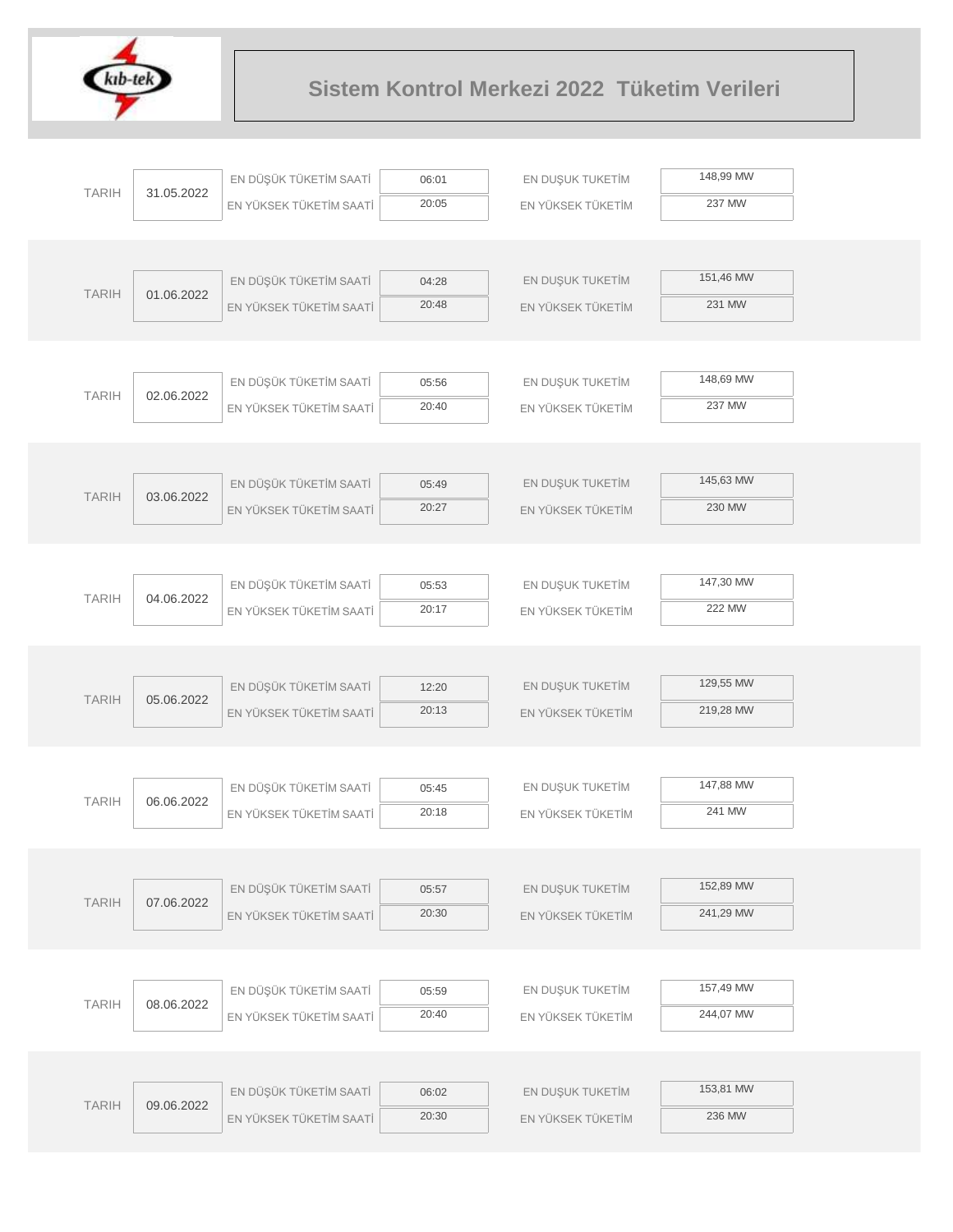

|              |            | EN DÜŞÜK TÜKETİM SAATİ  | 06:01 | EN DUŞUK TUKETİM  | 148,99 MW |
|--------------|------------|-------------------------|-------|-------------------|-----------|
| <b>TARIH</b> | 31.05.2022 | EN YÜKSEK TÜKETİM SAATİ | 20:05 | EN YÜKSEK TÜKETİM | 237 MW    |
|              |            |                         |       |                   |           |
|              |            |                         |       |                   |           |
|              |            | EN DÜŞÜK TÜKETİM SAATİ  | 04:28 | EN DUŞUK TUKETİM  | 151,46 MW |
| <b>TARIH</b> | 01.06.2022 | EN YÜKSEK TÜKETİM SAATİ | 20:48 | EN YÜKSEK TÜKETİM | 231 MW    |
|              |            |                         |       |                   |           |
|              |            |                         |       |                   |           |
|              |            | EN DÜŞÜK TÜKETİM SAATİ  | 05:56 | EN DUŞUK TUKETİM  | 148,69 MW |
| <b>TARIH</b> | 02.06.2022 | EN YÜKSEK TÜKETİM SAATİ | 20:40 | EN YÜKSEK TÜKETİM | 237 MW    |
|              |            |                         |       |                   |           |
|              |            |                         |       |                   |           |
|              |            | EN DÜŞÜK TÜKETİM SAATİ  | 05:49 | EN DUŞUK TUKETİM  | 145,63 MW |
| <b>TARIH</b> | 03.06.2022 | EN YÜKSEK TÜKETİM SAATİ | 20:27 | EN YÜKSEK TÜKETİM | 230 MW    |
|              |            |                         |       |                   |           |
|              |            |                         |       |                   |           |
|              |            | EN DÜŞÜK TÜKETİM SAATİ  | 05:53 | EN DUŞUK TUKETİM  | 147,30 MW |
| <b>TARIH</b> | 04.06.2022 | EN YÜKSEK TÜKETİM SAATİ | 20:17 | EN YÜKSEK TÜKETİM | 222 MW    |
|              |            |                         |       |                   |           |
|              |            |                         |       |                   |           |
|              |            | EN DÜŞÜK TÜKETİM SAATİ  | 12:20 | EN DUŞUK TUKETİM  | 129,55 MW |
| <b>TARIH</b> | 05.06.2022 | EN YÜKSEK TÜKETİM SAATİ | 20:13 | EN YÜKSEK TÜKETİM | 219,28 MW |
|              |            |                         |       |                   |           |
|              |            |                         |       |                   |           |
| <b>TARIH</b> | 06.06.2022 | EN DÜŞÜK TÜKETİM SAATİ  | 05:45 | EN DUŞUK TUKETİM  | 147,88 MW |
|              |            | EN YÜKSEK TÜKETİM SAATİ | 20:18 | EN YÜKSEK TÜKETİM | 241 MW    |
|              |            |                         |       |                   |           |
|              |            |                         |       |                   |           |
| <b>TARIH</b> | 07.06.2022 | EN DÜŞÜK TÜKETİM SAATİ  | 05:57 | EN DUŞUK TUKETİM  | 152,89 MW |
|              |            | EN YÜKSEK TÜKETİM SAATİ | 20:30 | EN YÜKSEK TÜKETİM | 241,29 MW |
|              |            |                         |       |                   |           |
|              |            |                         |       |                   |           |
| <b>TARIH</b> | 08.06.2022 | EN DÜŞÜK TÜKETİM SAATİ  | 05:59 | EN DUŞUK TUKETİM  | 157,49 MW |
|              |            | EN YÜKSEK TÜKETİM SAATİ | 20:40 | EN YÜKSEK TÜKETİM | 244,07 MW |
|              |            |                         |       |                   |           |
|              |            |                         |       |                   |           |
| <b>TARIH</b> | 09.06.2022 | EN DÜŞÜK TÜKETİM SAATİ  | 06:02 | EN DUŞUK TUKETİM  | 153,81 MW |
|              |            | EN YÜKSEK TÜKETİM SAATİ | 20:30 | EN YÜKSEK TÜKETİM | 236 MW    |
|              |            |                         |       |                   |           |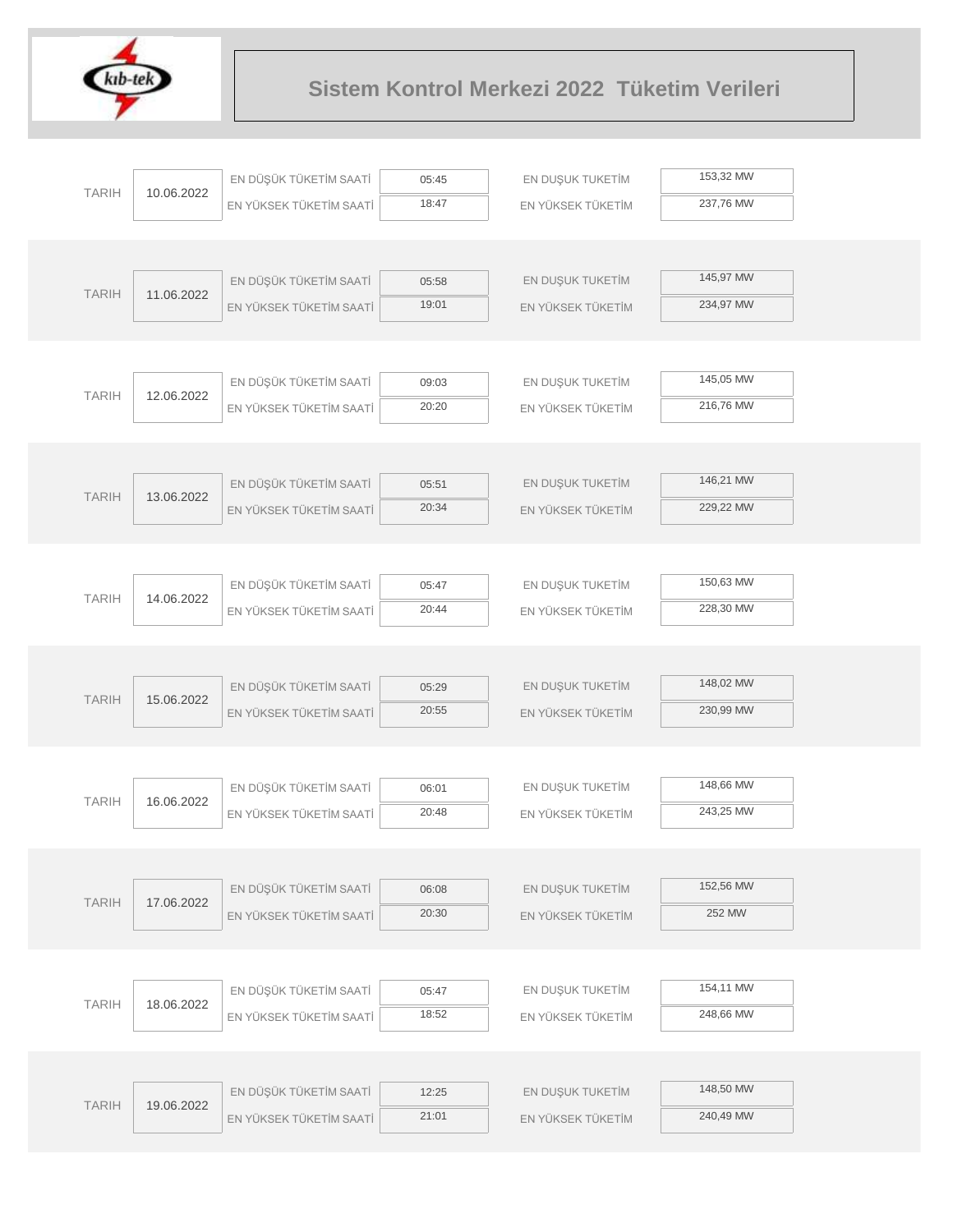

| <b>TARIH</b> |            | EN DÜŞÜK TÜKETİM SAATİ  | 05:45          | EN DUŞUK TUKETİM  | 153,32 MW |  |
|--------------|------------|-------------------------|----------------|-------------------|-----------|--|
|              | 10.06.2022 | EN YÜKSEK TÜKETİM SAATİ | 18:47          | EN YÜKSEK TÜKETİM | 237,76 MW |  |
|              |            |                         |                |                   |           |  |
|              |            |                         |                |                   |           |  |
| <b>TARIH</b> | 11.06.2022 | EN DÜŞÜK TÜKETİM SAATİ  | 05:58          | EN DUŞUK TUKETİM  | 145,97 MW |  |
|              |            | EN YÜKSEK TÜKETİM SAATİ | 19:01          | EN YÜKSEK TÜKETİM | 234,97 MW |  |
|              |            |                         |                |                   |           |  |
|              |            |                         |                |                   |           |  |
| <b>TARIH</b> | 12.06.2022 | EN DÜŞÜK TÜKETİM SAATİ  | 09:03          | EN DUŞUK TUKETİM  | 145,05 MW |  |
|              |            | EN YÜKSEK TÜKETİM SAATİ | 20:20          | EN YÜKSEK TÜKETİM | 216,76 MW |  |
|              |            |                         |                |                   |           |  |
|              |            |                         |                |                   |           |  |
| <b>TARIH</b> | 13.06.2022 | EN DÜŞÜK TÜKETİM SAATİ  | 05:51          | EN DUŞUK TUKETİM  | 146,21 MW |  |
|              |            | EN YÜKSEK TÜKETİM SAATİ | 20:34          | EN YÜKSEK TÜKETİM | 229,22 MW |  |
|              |            |                         |                |                   |           |  |
|              |            |                         |                |                   |           |  |
| <b>TARIH</b> | 14.06.2022 | EN DÜŞÜK TÜKETİM SAATİ  | 05:47          | EN DUŞUK TUKETİM  | 150,63 MW |  |
|              |            | EN YÜKSEK TÜKETİM SAATİ | 20:44          | EN YÜKSEK TÜKETİM | 228,30 MW |  |
|              |            |                         |                |                   |           |  |
|              |            |                         |                |                   |           |  |
| <b>TARIH</b> | 15.06.2022 | EN DÜŞÜK TÜKETİM SAATİ  | 05:29          | EN DUŞUK TUKETİM  | 148,02 MW |  |
|              |            | EN YÜKSEK TÜKETİM SAATİ | 20:55          | EN YÜKSEK TÜKETİM | 230,99 MW |  |
|              |            |                         |                |                   |           |  |
|              |            |                         |                |                   | 148,66 MW |  |
| <b>TARIH</b> | 16.06.2022 | EN DÜŞÜK TÜKETİM SAATİ  | 06:01          | EN DUŞUK TUKETİM  |           |  |
|              |            | EN YÜKSEK TÜKETİM SAATİ | 20:48          | EN YÜKSEK TÜKETİM | 243,25 MW |  |
|              |            |                         |                |                   |           |  |
|              |            |                         |                |                   | 152,56 MW |  |
| <b>TARIH</b> | 17.06.2022 | EN DÜŞÜK TÜKETİM SAATİ  | 06:08<br>20:30 | EN DUŞUK TUKETİM  | 252 MW    |  |
|              |            | EN YÜKSEK TÜKETİM SAATİ |                | EN YÜKSEK TÜKETİM |           |  |
|              |            |                         |                |                   |           |  |
|              |            | EN DÜŞÜK TÜKETİM SAATİ  | 05:47          | EN DUŞUK TUKETİM  | 154,11 MW |  |
| <b>TARIH</b> | 18.06.2022 | EN YÜKSEK TÜKETİM SAATİ | 18:52          | EN YÜKSEK TÜKETİM | 248,66 MW |  |
|              |            |                         |                |                   |           |  |
|              |            |                         |                |                   |           |  |
|              |            | EN DÜŞÜK TÜKETİM SAATİ  | 12:25          | EN DUŞUK TUKETİM  | 148,50 MW |  |
| <b>TARIH</b> | 19.06.2022 | EN YÜKSEK TÜKETİM SAATİ | 21:01          | EN YÜKSEK TÜKETİM | 240,49 MW |  |
|              |            |                         |                |                   |           |  |